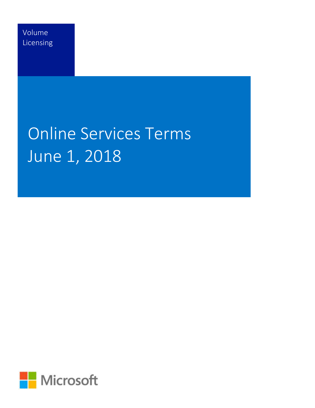# Online Services Terms June 1, 2018

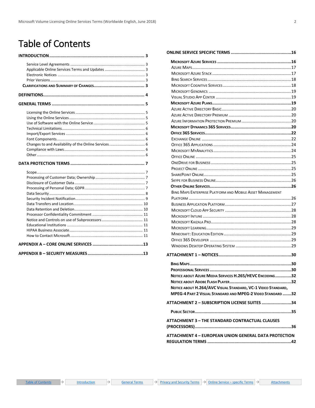## <span id="page-1-0"></span>Table of Contents

| BING MAPS ENTERPRISE PLATFORM AND MOBILE ASSET MANAGEMENT                                                                  |  |
|----------------------------------------------------------------------------------------------------------------------------|--|
|                                                                                                                            |  |
|                                                                                                                            |  |
|                                                                                                                            |  |
|                                                                                                                            |  |
|                                                                                                                            |  |
|                                                                                                                            |  |
|                                                                                                                            |  |
|                                                                                                                            |  |
|                                                                                                                            |  |
|                                                                                                                            |  |
|                                                                                                                            |  |
|                                                                                                                            |  |
|                                                                                                                            |  |
| NOTICE ABOUT AZURE MEDIA SERVICES H.265/HEVC ENCODING32<br>32                                                              |  |
|                                                                                                                            |  |
| NOTICE ABOUT H.264/AVC VISUAL STANDARD, VC-1 VIDEO STANDARD,<br>MPEG-4 PART 2 VISUAL STANDARD AND MPEG-2 VIDEO STANDARD 32 |  |
|                                                                                                                            |  |
| ATTACHMENT 2 - SUBSCRIPTION LICENSE SUITES 34                                                                              |  |
|                                                                                                                            |  |
| ATTACHMENT 3 - THE STANDARD CONTRACTUAL CLAUSES                                                                            |  |
|                                                                                                                            |  |
| ATTACHMENT 4 - EUROPEAN UNION GENERAL DATA PROTECTION                                                                      |  |
|                                                                                                                            |  |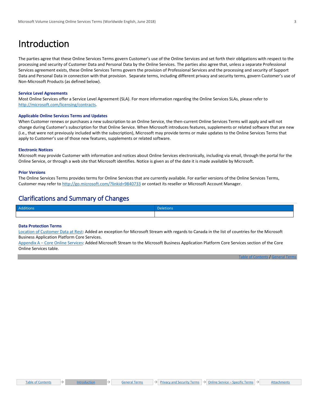## <span id="page-2-0"></span>Introduction

The parties agree that these Online Services Terms govern Customer's use of the Online Services and set forth their obligations with respect to the processing and security of Customer Data and Personal Data by the Online Services. The parties also agree that, unless a separate Professional Services agreement exists, these Online Services Terms govern the provision of Professional Services and the processing and security of Support Data and Personal Data in connection with that provision. Separate terms, including different privacy and security terms, govern Customer's use of Non-Microsoft Products (as defined below).

#### <span id="page-2-1"></span>**Service Level Agreements**

Most Online Services offer a Service Level Agreement (SLA). For more information regarding the Online Services SLAs, please refer to [http://microsoft.com/licensing/contracts.](http://microsoft.com/licensing/contracts)

#### <span id="page-2-2"></span>**Applicable Online Services Terms and Updates**

When Customer renews or purchases a new subscription to an Online Service, the then-current Online Services Terms will apply and will not change during Customer's subscription for that Online Service. When Microsoft introduces features, supplements or related software that are new (i.e., that were not previously included with the subscription), Microsoft may provide terms or make updates to the Online Services Terms that apply to Customer's use of those new features, supplements or related software.

#### <span id="page-2-3"></span>**Electronic Notices**

Microsoft may provide Customer with information and notices about Online Services electronically, including via email, through the portal for the Online Service, or through a web site that Microsoft identifies. Notice is given as of the date it is made available by Microsoft.

#### <span id="page-2-4"></span>**Prior Versions**

The Online Services Terms provides terms for Online Services that are currently available. For earlier versions of the Online Services Terms, Customer may refer to<http://go.microsoft.com/?linkid=9840733> or contact its reseller or Microsoft Account Manager.

### <span id="page-2-5"></span>Clarifications and Summary of Changes

| <b>Additions</b> | <b>Deletions</b> |
|------------------|------------------|
|                  |                  |

#### **Data Protection Terms**

[Location of Customer Data at Rest:](#page-9-2) Added an exception for Microsoft Stream with regards to Canada in the list of countries for the Microsoft Business Application Platform Core Services.

Appendix A - [Core Online Services:](#page-12-0) Added Microsoft Stream to the Microsoft Business Application Platform Core Services section of the Core Online Services table.

#### [Table of Contents](#page-1-0) / General Terms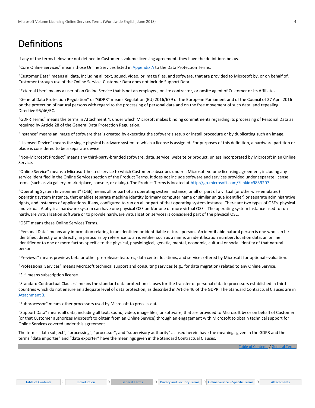## <span id="page-3-0"></span>**Definitions**

If any of the terms below are not defined in Customer's volume licensing agreement, they have the definitions below.

"Core Online Services" means those Online Services listed in Appendix A to the Data Protection Terms.

"Customer Data" means all data, including all text, sound, video, or image files, and software, that are provided to Microsoft by, or on behalf of, Customer through use of the Online Service. Customer Data does not include Support Data.

"External User" means a user of an Online Service that is not an employee, onsite contractor, or onsite agent of Customer or its Affiliates.

"General Data Protection Regulation" or "GDPR" means Regulation (EU) 2016/679 of the European Parliament and of the Council of 27 April 2016 on the protection of natural persons with regard to the processing of personal data and on the free movement of such data, and repealing Directive 95/46/EC.

"GDPR Terms" means the terms in Attachment 4, under which Microsoft makes binding commitments regarding its processing of Personal Data as required by Article 28 of the General Data Protection Regulation.

"Instance" means an image of software that is created by executing the software's setup or install procedure or by duplicating such an image.

"Licensed Device" means the single physical hardware system to which a license is assigned. For purposes of this definition, a hardware partition or blade is considered to be a separate device.

"Non-Microsoft Product" means any third-party-branded software, data, service, website or product, unless incorporated by Microsoft in an Online Service.

"Online Service" means a Microsoft-hosted service to which Customer subscribes under a Microsoft volume licensing agreement, including any service identified in the Online Services section of the Product Terms. It does not include software and services provided under separate license terms (such as via gallery, marketplace, console, or dialog). The Product Terms is located a[t http://go.microsoft.com/?linkid=9839207.](http://go.microsoft.com/?linkid=9839207)

"Operating System Environment" (OSE) means all or part of an operating system Instance, or all or part of a virtual (or otherwise emulated) operating system Instance, that enables separate machine identity (primary computer name or similar unique identifier) or separate administrative rights, and Instances of applications, if any, configured to run on all or part of that operating system Instance. There are two types of OSEs, physical and virtual. A physical hardware system can have one physical OSE and/or one or more virtual OSEs. The operating system Instance used to run hardware virtualization software or to provide hardware virtualization services is considered part of the physical OSE.

"OST" means these Online Services Terms.

"Personal Data" means any information relating to an identified or identifiable natural person. An identifiable natural person is one who can be identified, directly or indirectly, in particular by reference to an identifier such as a name, an identification number, location data, an online identifier or to one or more factors specific to the physical, physiological, genetic, mental, economic, cultural or social identity of that natural person.

"Previews" means preview, beta or other pre-release features, data center locations, and services offered by Microsoft for optional evaluation.

"Professional Services" means Microsoft technical support and consulting services (e.g., for data migration) related to any Online Service.

"SL" means subscription license.

"Standard Contractual Clauses" means the standard data protection clauses for the transfer of personal data to processors established in third countries which do not ensure an adequate level of data protection, as described in Article 46 of the GDPR. The Standard Contractual Clauses are in [Attachment 3.](#page-33-1)

"Subprocessor" means other processors used by Microsoft to process data.

"Support Data" means all data, including all text, sound, video, image files, or software, that are provided to Microsoft by or on behalf of Customer (or that Customer authorizes Microsoft to obtain from an Online Service) through an engagement with Microsoft to obtain technical support for Online Services covered under this agreement.

The terms "data subject", "processing", "processor", and "supervisory authority" as used herein have the meanings given in the GDPR and the terms "data importer" and "data exporter" have the meanings given in the Standard Contractual Clauses.

[Table of Contents](#page-1-0) / General Terms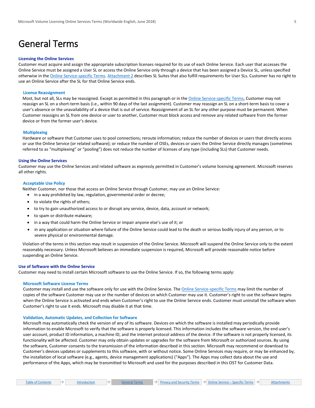## <span id="page-4-0"></span>General Terms

#### <span id="page-4-1"></span>**Licensing the Online Services**

Customer must acquire and assign the appropriate subscription licenses required for its use of each Online Service. Each user that accesses the Online Service must be assigned a User SL or access the Online Service only through a device that has been assigned a Device SL, unless specified otherwise in th[e Online Service-specific Terms.](#page-14-0) [Attachment 2](#page-33-0) describes SL Suites that also fulfill requirements for User SLs. Customer has no right to use an Online Service after the SL for that Online Service ends.

#### **License Reassignment**

Most, but not all, SLs may be reassigned. Except as permitted in this paragraph or in th[e Online Service-specific Terms,](#page-14-0) Customer may not reassign an SL on a short-term basis (i.e., within 90 days of the last assignment). Customer may reassign an SL on a short-term basis to cover a user's absence or the unavailability of a device that is out of service. Reassignment of an SL for any other purpose must be permanent. When Customer reassigns an SL from one device or user to another, Customer must block access and remove any related software from the former device or from the former user's device.

#### **Multiplexing**

Hardware or software that Customer uses to pool connections; reroute information; reduce the number of devices or users that directly access or use the Online Service (or related software); or reduce the number of OSEs, devices or users the Online Service directly manages (sometimes referred to as "multiplexing" or "pooling") does not reduce the number of licenses of any type (including SLs) that Customer needs.

#### <span id="page-4-2"></span>**Using the Online Services**

Customer may use the Online Services and related software as expressly permitted in Customer's volume licensing agreement. Microsoft reserves all other rights.

#### **Acceptable Use Policy**

Neither Customer, nor those that access an Online Service through Customer, may use an Online Service:

- in a way prohibited by law, regulation, governmental order or decree;
- to violate the rights of others;
- to try to gain unauthorized access to or disrupt any service, device, data, account or network;
- to spam or distribute malware;
- in a way that could harm the Online Service or impair anyone else's use of it; or
- in any application or situation where failure of the Online Service could lead to the death or serious bodily injury of any person, or to severe physical or environmental damage.

Violation of the terms in this section may result in suspension of the Online Service. Microsoft will suspend the Online Service only to the extent reasonably necessary. Unless Microsoft believes an immediate suspension is required, Microsoft will provide reasonable notice before suspending an Online Service.

#### <span id="page-4-3"></span>**Use of Software with the Online Service**

Customer may need to install certain Microsoft software to use the Online Service. If so, the following terms apply:

#### **Microsoft Software License Terms**

Customer may install and use the software only for use with the Online Service. The [Online Service-specific Terms](#page-14-0) may limit the number of copies of the software Customer may use or the number of devices on which Customer may use it. Customer's right to use the software begins when the Online Service is activated and ends when Customer's right to use the Online Service ends. Customer must uninstall the software when Customer's right to use it ends. Microsoft may disable it at that time.

#### **Validation, Automatic Updates, and Collection for Software**

Microsoft may automatically check the version of any of its software. Devices on which the software is installed may periodically provide information to enable Microsoft to verify that the software is properly licensed. This information includes the software version, the end user's user account, product ID information, a machine ID, and the internet protocol address of the device. If the software is not properly licensed, its functionality will be affected. Customer may only obtain updates or upgrades for the software from Microsoft or authorized sources. By using the software, Customer consents to the transmission of the information described in this section. Microsoft may recommend or download to Customer's devices updates or supplements to this software, with or without notice. Some Online Services may require, or may be enhanced by, the installation of local software (e.g., agents, device management applications) ("Apps"). The Apps may collect data about the use and performance of the Apps, which may be transmitted to Microsoft and used for the purposes described in this OST for Customer Data.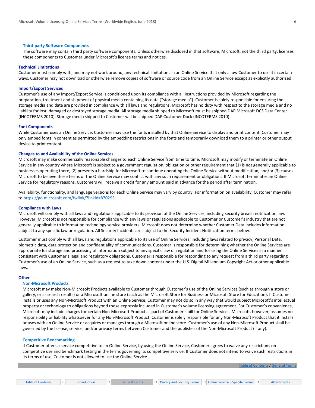#### **Third-party Software Components**

The software may contain third party software components. Unless otherwise disclosed in that software, Microsoft, not the third party, licenses these components to Customer under Microsoft's license terms and notices.

#### <span id="page-5-0"></span>**Technical Limitations**

Customer must comply with, and may not work around, any technical limitations in an Online Service that only allow Customer to use it in certain ways. Customer may not download or otherwise remove copies of software or source code from an Online Service except as explicitly authorized.

#### <span id="page-5-1"></span>**Import/Export Services**

Customer's use of any Import/Export Service is conditioned upon its compliance with all instructions provided by Microsoft regarding the preparation, treatment and shipment of physical media containing its data ("storage media"). Customer is solely responsible for ensuring the storage media and data are provided in compliance with all laws and regulations. Microsoft has no duty with respect to the storage media and no liability for lost, damaged or destroyed storage media. All storage media shipped to Microsoft must be shipped DAP Microsoft DCS Data Center (INCOTERMS 2010). Storage media shipped to Customer will be shipped DAP Customer Dock (INCOTERMS 2010).

#### <span id="page-5-2"></span>**Font Components**

While Customer uses an Online Service, Customer may use the fonts installed by that Online Service to display and print content. Customer may only embed fonts in content as permitted by the embedding restrictions in the fonts and temporarily download them to a printer or other output device to print content.

#### <span id="page-5-3"></span>**Changes to and Availability of the Online Services**

Microsoft may make commercially reasonable changes to each Online Service from time to time. Microsoft may modify or terminate an Online Service in any country where Microsoft is subject to a government regulation, obligation or other requirement that (1) is not generally applicable to businesses operating there, (2) presents a hardship for Microsoft to continue operating the Online Service without modification, and/or (3) causes Microsoft to believe these terms or the Online Service may conflict with any such requirement or obligation. If Microsoft terminates an Online Service for regulatory reasons, Customers will receive a credit for any amount paid in advance for the period after termination.

Availability, functionality, and language versions for each Online Service may vary by country. For information on availability, Customer may refer to [https://go.microsoft.com/fwlink/?linkid=870295.](https://go.microsoft.com/fwlink/?linkid=870295)

#### <span id="page-5-4"></span>**Compliance with Laws**

Microsoft will comply with all laws and regulations applicable to its provision of the Online Services, including security breach notification law. However, Microsoft is not responsible for compliance with any laws or regulations applicable to Customer or Customer's industry that are not generally applicable to information technology service providers. Microsoft does not determine whether Customer Data includes information subject to any specific law or regulation. All Security Incidents are subject to the Security Incident Notification terms below.

Customer must comply with all laws and regulations applicable to its use of Online Services, including laws related to privacy, Personal Data, biometric data, data protection and confidentiality of communications. Customer is responsible for determining whether the Online Services are appropriate for storage and processing of information subject to any specific law or regulation and for using the Online Services in a manner consistent with Customer's legal and regulatory obligations. Customer is responsible for responding to any request from a third party regarding Customer's use of an Online Service, such as a request to take down content under the U.S. Digital Millennium Copyright Act or other applicable laws.

#### <span id="page-5-5"></span>**Other**

#### **Non-Microsoft Products**

Microsoft may make Non-Microsoft Products available to Customer through Customer's use of the Online Services (such as through a store or gallery, or as search results) or a Microsoft online store (such as the Microsoft Store for Business or Microsoft Store for Education). If Customer installs or uses any Non-Microsoft Product with an Online Service, Customer may not do so in any way that would subject Microsoft's intellectual property or technology to obligations beyond those expressly included in Customer's volume licensing agreement. For Customer's convenience, Microsoft may include charges for certain Non-Microsoft Product as part of Customer's bill for Online Services. Microsoft, however, assumes no responsibility or liability whatsoever for any Non-Microsoft Product. Customer is solely responsible for any Non-Microsoft Product that it installs or uses with an Online Service or acquires or manages through a Microsoft online store. Customer's use of any Non-Microsoft Product shall be governed by the license, service, and/or privacy terms between Customer and the publisher of the Non-Microsoft Product (if any).

#### **Competitive Benchmarking**

If Customer offers a service competitive to an Online Service, by using the Online Service, Customer agrees to waive any restrictions on competitive use and benchmark testing in the terms governing its competitive service. If Customer does not intend to waive such restrictions in its terms of use, Customer is not allowed to use the Online Service.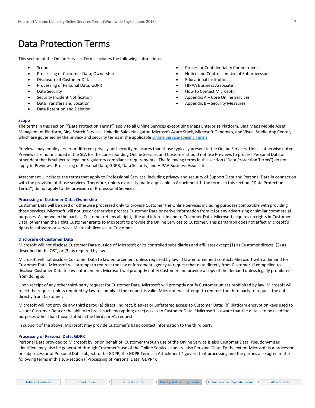## <span id="page-6-0"></span>Data Protection Terms

This section of the Online Services Terms includes the following subsections:

- Scope
- Processing of Customer Data; Ownership
- Disclosure of Customer Data
- Processing of Personal Data; GDPR
- Data Security
- Security Incident Notification
- Data Transfers and Location
- Data Retention and Deletion
- Processor Confidentiality Commitment
- Notice and Controls on Use of Subprocessors
- Educational Institutions
- HIPAA Business Associate
- How to Contact Microsoft
- Appendix A Core Online Services
- Appendix B Security Measures

#### <span id="page-6-1"></span>**Scope**

The terms in this section ("Data Protection Terms") apply to all Online Services except Bing Maps Enterprise Platform, Bing Maps Mobile Asset Management Platform, Bing Search Services, LinkedIn Sales Navigator, Microsoft Azure Stack, Microsoft Genomics, and Visual Studio App Center, which are governed by the privacy and security terms in the applicable [Online Service-specific Terms.](#page-14-0)

Previews may employ lesser or different privacy and security measures than those typically present in the Online Services. Unless otherwise noted, Previews are not included in the SLA for the corresponding Online Service, and Customer should not use Previews to process Personal Data or other data that is subject to legal or regulatory compliance requirements. The following terms in this section ("Data Protection Terms") do not apply to Previews: Processing of Personal Data; GDPR, Data Security, and HIPAA Business Associate.

Attachment 1 includes the terms that apply to Professional Services, including privacy and security of Support Data and Personal Data in connection with the provision of those services. Therefore, unless expressly made applicable in Attachment 1, the terms in this section ("Data Protection Terms") do not apply to the provision of Professional Services.

#### <span id="page-6-2"></span>**Processing of Customer Data; Ownership**

Customer Data will be used or otherwise processed only to provide Customer the Online Services including purposes compatible with providing those services. Microsoft will not use or otherwise process Customer Data or derive information from it for any advertising or similar commercial purposes. As between the parties, Customer retains all right, title and interest in and to Customer Data. Microsoft acquires no rights in Customer Data, other than the rights Customer grants to Microsoft to provide the Online Services to Customer. This paragraph does not affect Microsoft's rights in software or services Microsoft licenses to Customer.

#### <span id="page-6-3"></span>**Disclosure of Customer Data**

Microsoft will not disclose Customer Data outside of Microsoft or its controlled subsidiaries and affiliates except (1) as Customer directs, (2) as described in the OST, or (3) as required by law.

Microsoft will not disclose Customer Data to law enforcement unless required by law. If law enforcement contacts Microsoft with a demand for Customer Data, Microsoft will attempt to redirect the law enforcement agency to request that data directly from Customer. If compelled to disclose Customer Data to law enforcement, Microsoft will promptly notify Customer and provide a copy of the demand unless legally prohibited from doing so.

Upon receipt of any other third-party request for Customer Data, Microsoft will promptly notify Customer unless prohibited by law. Microsoft will reject the request unless required by law to comply. If the request is valid, Microsoft will attempt to redirect the third party to request the data directly from Customer.

Microsoft will not provide any third party: (a) direct, indirect, blanket or unfettered access to Customer Data; (b) platform encryption keys used to secure Customer Data or the ability to break such encryption; or (c) access to Customer Data if Microsoft is aware that the data is to be used for purposes other than those stated in the third party's request.

In support of the above, Microsoft may provide Customer's basic contact information to the third party.

#### <span id="page-6-4"></span>**Processing of Personal Data; GDPR**

Personal Data provided to Microsoft by, or on behalf of, Customer through use of the Online Service is also Customer Data. Pseudonymized identifiers may also be generated through Customer's use of the Online Services and are also Personal Data. To the extent Microsoft is a processor or subprocessor of Personal Data subject to the GDPR, the GDPR Terms in Attachment 4 govern that processing and the parties also agree to the following terms in this sub-section ("Processing of Personal Data; GDPR"):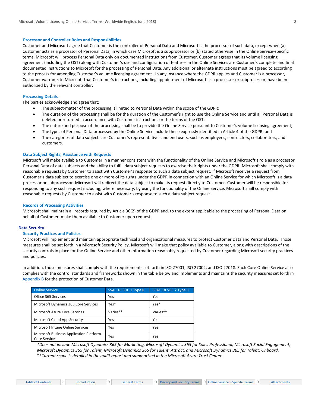#### **Processor and Controller Roles and Responsibilities**

Customer and Microsoft agree that Customer is the controller of Personal Data and Microsoft is the processor of such data, except when (a) Customer acts as a processor of Personal Data, in which case Microsoft is a subprocessor or (b) stated otherwise in the Online Service-specific terms. Microsoft will process Personal Data only on documented instructions from Customer. Customer agrees that its volume licensing agreement (including the OST) along with Customer's use and configuration of features in the Online Services are Customer's complete and final documented instructions to Microsoft for the processing of Personal Data. Any additional or alternate instructions must be agreed to according to the process for amending Customer's volume licensing agreement. In any instance where the GDPR applies and Customer is a processor, Customer warrants to Microsoft that Customer's instructions, including appointment of Microsoft as a processor or subprocessor, have been authorized by the relevant controller.

#### **Processing Details**

The parties acknowledge and agree that:

- The subject-matter of the processing is limited to Personal Data within the scope of the GDPR;
- The duration of the processing shall be for the duration of the Customer's right to use the Online Service and until all Personal Data is deleted or returned in accordance with Customer instructions or the terms of the OST;
- The nature and purpose of the processing shall be to provide the Online Service pursuant to Customer's volume licensing agreement;
- The types of Personal Data processed by the Online Service include those expressly identified in Article 4 of the GDPR; and
- The categories of data subjects are Customer's representatives and end users, such as employees, contractors, collaborators, and customers.

#### **Data Subject Rights; Assistance with Requests**

Microsoft will make available to Customer in a manner consistent with the functionality of the Online Service and Microsoft's role as a processor Personal Data of data subjects and the ability to fulfill data subject requests to exercise their rights under the GDPR. Microsoft shall comply with reasonable requests by Customer to assist with Customer's response to such a data subject request. If Microsoft receives a request from Customer's data subject to exercise one or more of its rights under the GDPR in connection with an Online Service for which Microsoft is a data processor or subprocessor, Microsoft will redirect the data subject to make its request directly to Customer. Customer will be responsible for responding to any such request including, where necessary, by using the functionality of the Online Service. Microsoft shall comply with reasonable requests by Customer to assist with Customer's response to such a data subject request.

#### **Records of Processing Activities**

Microsoft shall maintain all records required by Article 30(2) of the GDPR and, to the extent applicable to the processing of Personal Data on behalf of Customer, make them available to Customer upon request.

#### <span id="page-7-0"></span>**Data Security**

#### **Security Practices and Policies**

Microsoft will implement and maintain appropriate technical and organizational measures to protect Customer Data and Personal Data. Those measures shall be set forth in a Microsoft Security Policy. Microsoft will make that policy available to Customer, along with descriptions of the security controls in place for the Online Service and other information reasonably requested by Customer regarding Microsoft security practices and policies.

In addition, those measures shall comply with the requirements set forth in ISO 27001, ISO 27002, and ISO 27018. Each Core Online Service also complies with the control standards and frameworks shown in the table below and implements and maintains the security measures set forth in [Appendix B](#page-12-1) for the protection of Customer Data.

| <b>Online Service</b>                                           | SSAE 18 SOC 1 Type II | SSAE 18 SOC 2 Type II |
|-----------------------------------------------------------------|-----------------------|-----------------------|
| Office 365 Services                                             | Yes                   | Yes                   |
| Microsoft Dynamics 365 Core Services                            | Yes*                  | Yes*                  |
| Microsoft Azure Core Services                                   | Varies**              | Varies**              |
| Microsoft Cloud App Security                                    | Yes                   | Yes                   |
| Microsoft Intune Online Services                                | Yes                   | Yes                   |
| Microsoft Business Application Platform<br><b>Core Services</b> | Yes                   | Yes                   |

*\*Does not include Microsoft Dynamics 365 for Marketing, Microsoft Dynamics 365 for Sales Professional, Microsoft Social Engagement, Microsoft Dynamics 365 for Talent, Microsoft Dynamics 365 for Talent: Attract, and Microsoft Dynamics 365 for Talent: Onboard.* \*\**Current scope is detailed in the audit report and summarized in the Microsoft Azure Trust Center.*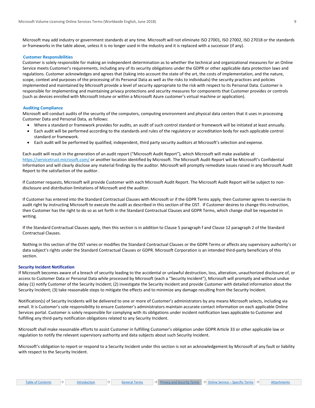Microsoft may add industry or government standards at any time. Microsoft will not eliminate ISO 27001, ISO 27002, ISO 27018 or the standards or frameworks in the table above, unless it is no longer used in the industry and it is replaced with a successor (if any).

#### **Customer Responsibilities**

Customer is solely responsible for making an independent determination as to whether the technical and organizational measures for an Online Service meets Customer's requirements, including any of its security obligations under the GDPR or other applicable data protection laws and regulations. Customer acknowledges and agrees that (taking into account the state of the art, the costs of implementation, and the nature, scope, context and purposes of the processing of its Personal Data as well as the risks to individuals) the security practices and policies implemented and maintained by Microsoft provide a level of security appropriate to the risk with respect to its Personal Data. Customer is responsible for implementing and maintaining privacy protections and security measures for components that Customer provides or controls (such as devices enrolled with Microsoft Intune or within a Microsoft Azure customer's virtual machine or application).

#### **Auditing Compliance**

Microsoft will conduct audits of the security of the computers, computing environment and physical data centers that it uses in processing Customer Data and Personal Data, as follows:

- Where a standard or framework provides for audits, an audit of such control standard or framework will be initiated at least annually.
- Each audit will be performed according to the standards and rules of the regulatory or accreditation body for each applicable control standard or framework.
- Each audit will be performed by qualified, independent, third party security auditors at Microsoft's selection and expense.

Each audit will result in the generation of an audit report ("Microsoft Audit Report"), which Microsoft will make available at <https://servicetrust.microsoft.com/> or another location identified by Microsoft. The Microsoft Audit Report will be Microsoft's Confidential Information and will clearly disclose any material findings by the auditor. Microsoft will promptly remediate issues raised in any Microsoft Audit Report to the satisfaction of the auditor.

If Customer requests, Microsoft will provide Customer with each Microsoft Audit Report. The Microsoft Audit Report will be subject to nondisclosure and distribution limitations of Microsoft and the auditor.

If Customer has entered into the Standard Contractual Clauses with Microsoft or if the GDPR Terms apply, then Customer agrees to exercise its audit right by instructing Microsoft to execute the audit as described in this section of the OST. If Customer desires to change this instruction, then Customer has the right to do so as set forth in the Standard Contractual Clauses and GDPR Terms, which change shall be requested in writing.

If the Standard Contractual Clauses apply, then this section is in addition to Clause 5 paragraph f and Clause 12 paragraph 2 of the Standard Contractual Clauses.

Nothing in this section of the OST varies or modifies the Standard Contractual Clauses or the GDPR Terms or affects any supervisory authority's or data subject's rights under the Standard Contractual Clauses or GDPR. Microsoft Corporation is an intended third-party beneficiary of this section.

#### <span id="page-8-0"></span>**Security Incident Notification**

If Microsoft becomes aware of a breach of security leading to the accidental or unlawful destruction, loss, alteration, unauthorized disclosure of, or access to Customer Data or Personal Data while processed by Microsoft (each a "Security Incident"), Microsoft will promptly and without undue delay (1) notify Customer of the Security Incident; (2) investigate the Security Incident and provide Customer with detailed information about the Security Incident; (3) take reasonable steps to mitigate the effects and to minimize any damage resulting from the Security Incident.

Notification(s) of Security Incidents will be delivered to one or more of Customer's administrators by any means Microsoft selects, including via email. It is Customer's sole responsibility to ensure Customer's administrators maintain accurate contact information on each applicable Online Services portal. Customer is solely responsible for complying with its obligations under incident notification laws applicable to Customer and fulfilling any third-party notification obligations related to any Security Incident.

Microsoft shall make reasonable efforts to assist Customer in fulfilling Customer's obligation under GDPR Article 33 or other applicable law or regulation to notify the relevant supervisory authority and data subjects about such Security Incident.

Microsoft's obligation to report or respond to a Security Incident under this section is not an acknowledgement by Microsoft of any fault or liability with respect to the Security Incident.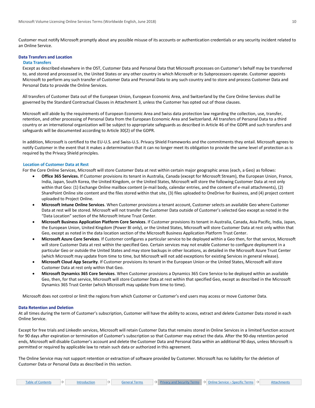Customer must notify Microsoft promptly about any possible misuse of its accounts or authentication credentials or any security incident related to an Online Service.

#### <span id="page-9-0"></span>**Data Transfers and Location**

#### **Data Transfers**

Except as described elsewhere in the OST, Customer Data and Personal Data that Microsoft processes on Customer's behalf may be transferred to, and stored and processed in, the United States or any other country in which Microsoft or its Subprocessors operate. Customer appoints Microsoft to perform any such transfer of Customer Data and Personal Data to any such country and to store and process Customer Data and Personal Data to provide the Online Services.

All transfers of Customer Data out of the European Union, European Economic Area, and Switzerland by the Core Online Services shall be governed by the Standard Contractual Clauses in Attachment 3, unless the Customer has opted out of those clauses.

Microsoft will abide by the requirements of European Economic Area and Swiss data protection law regarding the collection, use, transfer, retention, and other processing of Personal Data from the European Economic Area and Switzerland. All transfers of Personal Data to a third country or an international organization will be subject to appropriate safeguards as described in Article 46 of the GDPR and such transfers and safeguards will be documented according to Article 30(2) of the GDPR.

In addition, Microsoft is certified to the EU-U.S. and Swiss-U.S. Privacy Shield Frameworks and the commitments they entail. Microsoft agrees to notify Customer in the event that it makes a determination that it can no longer meet its obligation to provide the same level of protection as is required by the Privacy Shield principles.

#### <span id="page-9-2"></span>**Location of Customer Data at Rest**

For the Core Online Services, Microsoft will store Customer Data at rest within certain major geographic areas (each, a Geo) as follows:

- **Office 365 Services.** If Customer provisions its tenant in Australia, Canada (except for Microsoft Stream), the European Union, France, India, Japan, South Korea, the United Kingdom, or the United States, Microsoft will store the following Customer Data at rest only within that Geo: (1) Exchange Online mailbox content (e-mail body, calendar entries, and the content of e-mail attachments), (2) SharePoint Online site content and the files stored within that site, (3) files uploaded to OneDrive for Business, and (4) project content uploaded to Project Online.
- **Microsoft Intune Online Services**. When Customer provisions a tenant account, Customer selects an available Geo where Customer Data at rest will be stored. Microsoft will not transfer the Customer Data outside of Customer's selected Geo except as noted in the "Data Location" section of the Microsoft Intune Trust Center.
- **Microsoft Business Application Platform Core Services**. If Customer provisions its tenant in Australia, Canada, Asia Pacific, India, Japan, the European Union, United Kingdom (Power BI only), or the United States, Microsoft will store Customer Data at rest only within that Geo, except as noted in the data location section of the Microsoft Business Application Platform Trust Center.
- **Microsoft Azure Core Services**. If Customer configures a particular service to be deployed within a Geo then, for that service, Microsoft will store Customer Data at rest within the specified Geo. Certain services may not enable Customer to configure deployment in a particular Geo or outside the United States and may store backups in other locations, as detailed in the Microsoft Azure Trust Center (which Microsoft may update from time to time, but Microsoft will not add exceptions for existing Services in general release).
- **Microsoft Cloud App Security**. If Customer provisions its tenant in the European Union or the United States, Microsoft will store Customer Data at rest only within that Geo.
- **Microsoft Dynamics 365 Core Services**. When Customer provisions a Dynamics 365 Core Service to be deployed within an available Geo, then, for that service, Microsoft will store Customer Data at rest within that specified Geo, except as described in the Microsoft Dynamics 365 Trust Center (which Microsoft may update from time to time).

Microsoft does not control or limit the regions from which Customer or Customer's end users may access or move Customer Data.

#### <span id="page-9-1"></span>**Data Retention and Deletion**

At all times during the term of Customer's subscription, Customer will have the ability to access, extract and delete Customer Data stored in each Online Service.

Except for free trials and LinkedIn services, Microsoft will retain Customer Data that remains stored in Online Services in a limited function account for 90 days after expiration or termination of Customer's subscription so that Customer may extract the data. After the 90-day retention period ends, Microsoft will disable Customer's account and delete the Customer Data and Personal Data within an additional 90 days, unless Microsoft is permitted or required by applicable law to retain such data or authorized in this agreement.

The Online Service may not support retention or extraction of software provided by Customer. Microsoft has no liability for the deletion of Customer Data or Personal Data as described in this section.

 $\left| \begin{array}{ccc} \text{Table of Contents} & \rightarrow & \text{Introduction} & \rightarrow & \text{General Terms} & \rightarrow & \text{Private} \rightarrow & \text{Online Service - Specific Terms} \rightarrow & \text{Attention} \end{array} \right|$  $\left| \begin{array}{ccc} \text{Table of Contents} & \rightarrow & \text{Introduction} & \rightarrow & \text{General Terms} & \rightarrow & \text{Private} \rightarrow & \text{Online Service - Specific Terms} \rightarrow & \text{Attention} \end{array} \right|$  $\left| \begin{array}{ccc} \text{Table of Contents} & \rightarrow & \text{Introduction} & \rightarrow & \text{General Terms} & \rightarrow & \text{Private} \rightarrow & \text{Online Service - Specific Terms} \rightarrow & \text{Attention} \end{array} \right|$  $\left| \begin{array}{ccc} \text{Table of Contents} & \rightarrow & \text{Introduction} & \rightarrow & \text{General Terms} & \rightarrow & \text{Private} \rightarrow & \text{Online Service - Specific Terms} \rightarrow & \text{Attention} \end{array} \right|$  $\left| \begin{array}{ccc} \text{Table of Contents} & \rightarrow & \text{Introduction} & \rightarrow & \text{General Terms} & \rightarrow & \text{Private} \rightarrow & \text{Online Service - Specific Terms} \rightarrow & \text{Attention} \end{array} \right|$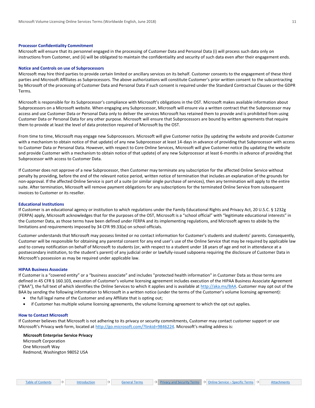#### <span id="page-10-0"></span>**Processor Confidentiality Commitment**

Microsoft will ensure that its personnel engaged in the processing of Customer Data and Personal Data (i) will process such data only on instructions from Customer, and (ii) will be obligated to maintain the confidentiality and security of such data even after their engagement ends.

#### <span id="page-10-1"></span>**Notice and Controls on use of Subprocessors**

Microsoft may hire third parties to provide certain limited or ancillary services on its behalf. Customer consents to the engagement of these third parties and Microsoft Affiliates as Subprocessors. The above authorizations will constitute Customer's prior written consent to the subcontracting by Microsoft of the processing of Customer Data and Personal Data if such consent is required under the Standard Contractual Clauses or the GDPR Terms.

Microsoft is responsible for its Subprocessor's compliance with Microsoft's obligations in the OST. Microsoft makes available information about Subprocessors on a Microsoft website. When engaging any Subprocessor, Microsoft will ensure via a written contract that the Subprocessor may access and use Customer Data or Personal Data only to deliver the services Microsoft has retained them to provide and is prohibited from using Customer Data or Personal Data for any other purpose. Microsoft will ensure that Subprocessors are bound by written agreements that require them to provide at least the level of data protection required of Microsoft by the OST.

From time to time, Microsoft may engage new Subprocessors. Microsoft will give Customer notice (by updating the website and provide Customer with a mechanism to obtain notice of that update) of any new Subprocessor at least 14-days in advance of providing that Subprocessor with access to Customer Data or Personal Data. However, with respect to Core Online Services, Microsoft will give Customer notice (by updating the website and provide Customer with a mechanism to obtain notice of that update) of any new Subprocessor at least 6-months in advance of providing that Subprocessor with access to Customer Data.

If Customer does not approve of a new Subprocessor, then Customer may terminate any subscription for the affected Online Service without penalty by providing, before the end of the relevant notice period, written notice of termination that includes an explanation of the grounds for non-approval. If the affected Online Service is part of a suite (or similar single purchase of services), then any termination will apply to the entire suite. After termination, Microsoft will remove payment obligations for any subscriptions for the terminated Online Service from subsequent invoices to Customer or its reseller.

#### <span id="page-10-2"></span>**Educational Institutions**

If Customer is an educational agency or institution to which regulations under the Family Educational Rights and Privacy Act, 20 U.S.C. § 1232g (FERPA) apply, Microsoft acknowledges that for the purposes of the OST, Microsoft is a "school official" with "legitimate educational interests" in the Customer Data, as those terms have been defined under FERPA and its implementing regulations, and Microsoft agrees to abide by the limitations and requirements imposed by 34 CFR 99.33(a) on school officials.

Customer understands that Microsoft may possess limited or no contact information for Customer's students and students' parents. Consequently, Customer will be responsible for obtaining any parental consent for any end user's use of the Online Service that may be required by applicable law and to convey notification on behalf of Microsoft to students (or, with respect to a student under 18 years of age and not in attendance at a postsecondary institution, to the student's parent) of any judicial order or lawfully-issued subpoena requiring the disclosure of Customer Data in Microsoft's possession as may be required under applicable law.

#### <span id="page-10-3"></span>**HIPAA Business Associate**

If Customer is a "covered entity" or a "business associate" and includes "protected health information" in Customer Data as those terms are defined in 45 CFR § 160.103, execution of Customer's volume licensing agreement includes execution of the HIPAA Business Associate Agreement ("BAA"), the full text of which identifies the Online Services to which it applies and is available at [http://aka.ms/BAA.](http://aka.ms/BAA) Customer may opt out of the BAA by sending the following information to Microsoft in a written notice (under the terms of the Customer's volume licensing agreement):

- the full legal name of the Customer and any Affiliate that is opting out;
- if Customer has multiple volume licensing agreements, the volume licensing agreement to which the opt out applies.

#### <span id="page-10-4"></span>**How to Contact Microsoft**

If Customer believes that Microsoft is not adhering to its privacy or security commitments, Customer may contact customer support or use Microsoft's Privacy web form, located at <http://go.microsoft.com/?linkid=9846224>. Microsoft's mailing address is:

**Microsoft Enterprise Service Privacy** Microsoft Corporation One Microsoft Way Redmond, Washington 98052 USA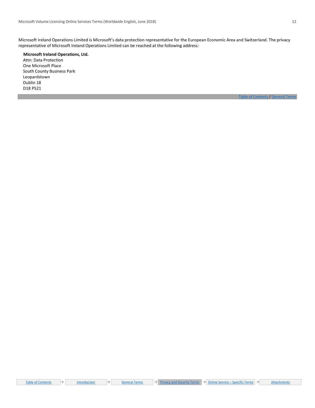Microsoft Ireland Operations Limited is Microsoft's data protection representative for the European Economic Area and Switzerland. The privacy representative of Microsoft Ireland Operations Limited can be reached at the following address:

#### **Microsoft Ireland Operations, Ltd.** Attn: Data Protection One Microsoft Place South County Business Park Leopardstown Dublin 18 D18 P521

[Table of Contents](#page-1-0) / General Terms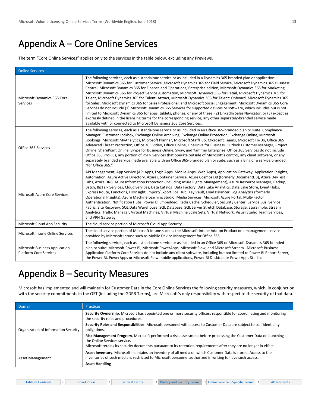## <span id="page-12-0"></span>Appendix A – Core Online Services

The term "Core Online Services" applies only to the services in the table below, excluding any Previews.

| <b>Online Services</b>                                          |                                                                                                                                                                                                                                                                                                                                                                                                                                                                                                                                                                                                                                                                                                                                                                                                                                                                                                                                                                                                                                                                                                                                                                                                            |
|-----------------------------------------------------------------|------------------------------------------------------------------------------------------------------------------------------------------------------------------------------------------------------------------------------------------------------------------------------------------------------------------------------------------------------------------------------------------------------------------------------------------------------------------------------------------------------------------------------------------------------------------------------------------------------------------------------------------------------------------------------------------------------------------------------------------------------------------------------------------------------------------------------------------------------------------------------------------------------------------------------------------------------------------------------------------------------------------------------------------------------------------------------------------------------------------------------------------------------------------------------------------------------------|
| Microsoft Dynamics 365 Core<br><b>Services</b>                  | The following services, each as a standalone service or as included in a Dynamics 365 branded plan or application:<br>Microsoft Dynamics 365 for Customer Service, Microsoft Dynamics 365 for Field Service, Microsoft Dynamics 365 Business<br>Central, Microsoft Dynamics 365 for Finance and Operations, Enterprise edition, Microsoft Dynamics 365 for Marketing,<br>Microsoft Dynamics 365 for Project Service Automation, Microsoft Dynamics 365 for Retail, Microsoft Dynamics 365 for<br>Talent, Microsoft Dynamics 365 for Talent: Attract, Microsoft Dynamics 365 for Talent: Onboard, Microsoft Dynamics 365<br>for Sales, Microsoft Dynamics 365 for Sales Professional, and Microsoft Social Engagement. Microsoft Dynamics 365 Core<br>Services do not include (1) Microsoft Dynamics 365 Services for supported devices or software, which includes but is not<br>limited to Microsoft Dynamics 365 for apps, tablets, phones, or any of these; (2) LinkedIn Sales Navigator; or (3) except as<br>expressly defined in the licensing terms for the corresponding service, any other separately-branded service made<br>available with or connected to Microsoft Dynamics 365 Core Services. |
| Office 365 Services                                             | The following services, each as a standalone service or as included in an Office 365-branded plan or suite: Compliance<br>Manager, Customer Lockbox, Exchange Online Archiving, Exchange Online Protection, Exchange Online, Microsoft<br>Bookings, Microsoft MyAnalytics, Microsoft Planner, Microsoft StaffHub, Microsoft Teams, Microsoft To-Do, Office 365<br>Advanced Threat Protection, Office 365 Video, Office Online, OneDrive for Business, Outlook Customer Manager, Project<br>Online, SharePoint Online, Skype for Business Online, Sway, and Yammer Enterprise. Office 365 Services do not include<br>Office 365 ProPlus, any portion of PSTN Services that operate outside of Microsoft's control, any client software, or any<br>separately branded service made available with an Office 365-branded plan or suite, such as a Bing or a service branded<br>"for Office 365."                                                                                                                                                                                                                                                                                                              |
| <b>Microsoft Azure Core Services</b>                            | API Management, App Service (API Apps, Logic Apps, Mobile Apps, Web Apps), Application Gateway, Application Insights,<br>Automation, Azure Active Directory, Azure Container Service, Azure Cosmos DB (formerly DocumentDB), Azure DevTest<br>Labs, Azure DNS, Azure Information Protection (including Azure Rights Management), Azure Resource Manager, Backup,<br>Batch, BizTalk Services, Cloud Services, Data Catalog, Data Factory, Data Lake Analytics, Data Lake Store, Event Hubs,<br>Express Route, Functions, HDInsight, Import/Export, IoT Hub, Key Vault, Load Balancer, Log Analytics (formerly<br>Operational Insights), Azure Machine Learning Studio, Media Services, Microsoft Azure Portal, Multi-Factor<br>Authentication, Notification Hubs, Power BI Embedded, Redis Cache, Scheduler, Security Center, Service Bus, Service<br>Fabric, Site Recovery, SQL Data Warehouse, SQL Database, SQL Server Stretch Database, Storage, StorSimple, Stream<br>Analytics, Traffic Manager, Virtual Machines, Virtual Machine Scale Sets, Virtual Network, Visual Studio Team Services,<br>and VPN Gateway                                                                                       |
| Microsoft Cloud App Security                                    | The cloud service portion of Microsoft Cloud App Security.                                                                                                                                                                                                                                                                                                                                                                                                                                                                                                                                                                                                                                                                                                                                                                                                                                                                                                                                                                                                                                                                                                                                                 |
| Microsoft Intune Online Services                                | The cloud service portion of Microsoft Intune such as the Microsoft Intune Add-on Product or a management service<br>provided by Microsoft Intune such as Mobile Device Management for Office 365.                                                                                                                                                                                                                                                                                                                                                                                                                                                                                                                                                                                                                                                                                                                                                                                                                                                                                                                                                                                                         |
| Microsoft Business Application<br><b>Platform Core Services</b> | The following services, each as a standalone service or as included in an Office 365 or Microsoft Dynamics 365 branded<br>plan or suite: Microsoft Power BI, Microsoft PowerApps, Microsoft Flow, and Microsoft Stream. Microsoft Business<br>Application Platform Core Services do not include any client software, including but not limited to Power BI Report Server,<br>the Power BI, PowerApps or Microsoft Flow mobile applications, Power BI Desktop, or PowerApps Studio.                                                                                                                                                                                                                                                                                                                                                                                                                                                                                                                                                                                                                                                                                                                         |

## <span id="page-12-1"></span>Appendix B – Security Measures

Microsoft has implemented and will maintain for Customer Data in the Core Online Services the following security measures, which, in conjunction with the security commitments in the OST (including the GDPR Terms), are Microsoft's only responsibility with respect to the security of that data.

| Domain                               | <b>Practices</b>                                                                                                                                                                                                                                     |
|--------------------------------------|------------------------------------------------------------------------------------------------------------------------------------------------------------------------------------------------------------------------------------------------------|
| Organization of Information Security | Security Ownership. Microsoft has appointed one or more security officers responsible for coordinating and monitoring<br>the security rules and procedures.                                                                                          |
|                                      | Security Roles and Responsibilities. Microsoft personnel with access to Customer Data are subject to confidentiality<br>obligations.                                                                                                                 |
|                                      | Risk Management Program. Microsoft performed a risk assessment before processing the Customer Data or launching<br>the Online Services service.                                                                                                      |
|                                      | Microsoft retains its security documents pursuant to its retention requirements after they are no longer in effect.                                                                                                                                  |
| <b>Asset Management</b>              | Asset Inventory. Microsoft maintains an inventory of all media on which Customer Data is stored. Access to the<br>inventories of such media is restricted to Microsoft personnel authorized in writing to have such access.<br><b>Asset Handling</b> |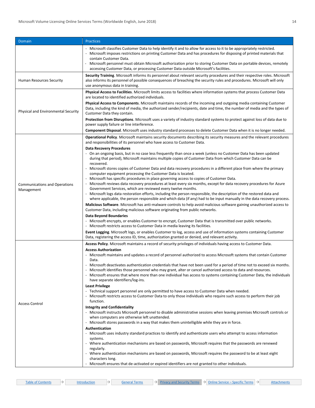| Domain                                     | Practices                                                                                                                                                                                                                                                                                                                                                                                                                                                                                 |
|--------------------------------------------|-------------------------------------------------------------------------------------------------------------------------------------------------------------------------------------------------------------------------------------------------------------------------------------------------------------------------------------------------------------------------------------------------------------------------------------------------------------------------------------------|
|                                            | Microsoft classifies Customer Data to help identify it and to allow for access to it to be appropriately restricted.<br>- Microsoft imposes restrictions on printing Customer Data and has procedures for disposing of printed materials that<br>contain Customer Data.<br>- Microsoft personnel must obtain Microsoft authorization prior to storing Customer Data on portable devices, remotely<br>accessing Customer Data, or processing Customer Data outside Microsoft's facilities. |
| <b>Human Resources Security</b>            | Security Training. Microsoft informs its personnel about relevant security procedures and their respective roles. Microsoft<br>also informs its personnel of possible consequences of breaching the security rules and procedures. Microsoft will only<br>use anonymous data in training.                                                                                                                                                                                                 |
|                                            | Physical Access to Facilities. Microsoft limits access to facilities where information systems that process Customer Data<br>are located to identified authorized individuals.                                                                                                                                                                                                                                                                                                            |
| <b>Physical and Environmental Security</b> | <b>Physical Access to Components</b> . Microsoft maintains records of the incoming and outgoing media containing Customer<br>Data, including the kind of media, the authorized sender/recipients, date and time, the number of media and the types of<br>Customer Data they contain.                                                                                                                                                                                                      |
|                                            | Protection from Disruptions. Microsoft uses a variety of industry standard systems to protect against loss of data due to<br>power supply failure or line interference.                                                                                                                                                                                                                                                                                                                   |
|                                            | Component Disposal. Microsoft uses industry standard processes to delete Customer Data when it is no longer needed.                                                                                                                                                                                                                                                                                                                                                                       |
|                                            | Operational Policy. Microsoft maintains security documents describing its security measures and the relevant procedures<br>and responsibilities of its personnel who have access to Customer Data.                                                                                                                                                                                                                                                                                        |
|                                            | <b>Data Recovery Procedures</b><br>- On an ongoing basis, but in no case less frequently than once a week (unless no Customer Data has been updated<br>during that period), Microsoft maintains multiple copies of Customer Data from which Customer Data can be<br>recovered.                                                                                                                                                                                                            |
|                                            | - Microsoft stores copies of Customer Data and data recovery procedures in a different place from where the primary<br>computer equipment processing the Customer Data is located.                                                                                                                                                                                                                                                                                                        |
| <b>Communications and Operations</b>       | Microsoft has specific procedures in place governing access to copies of Customer Data.<br>- Microsoft reviews data recovery procedures at least every six months, except for data recovery procedures for Azure                                                                                                                                                                                                                                                                          |
| Management                                 | Government Services, which are reviewed every twelve months.<br>- Microsoft logs data restoration efforts, including the person responsible, the description of the restored data and<br>where applicable, the person responsible and which data (if any) had to be input manually in the data recovery process.                                                                                                                                                                          |
|                                            | Malicious Software. Microsoft has anti-malware controls to help avoid malicious software gaining unauthorized access to<br>Customer Data, including malicious software originating from public networks.                                                                                                                                                                                                                                                                                  |
|                                            | <b>Data Beyond Boundaries</b>                                                                                                                                                                                                                                                                                                                                                                                                                                                             |
|                                            | - Microsoft encrypts, or enables Customer to encrypt, Customer Data that is transmitted over public networks.<br>- Microsoft restricts access to Customer Data in media leaving its facilities.                                                                                                                                                                                                                                                                                           |
|                                            | Event Logging. Microsoft logs, or enables Customer to log, access and use of information systems containing Customer<br>Data, registering the access ID, time, authorization granted or denied, and relevant activity.                                                                                                                                                                                                                                                                    |
|                                            | Access Policy. Microsoft maintains a record of security privileges of individuals having access to Customer Data.                                                                                                                                                                                                                                                                                                                                                                         |
|                                            | <b>Access Authorization</b><br>- Microsoft maintains and updates a record of personnel authorized to access Microsoft systems that contain Customer                                                                                                                                                                                                                                                                                                                                       |
|                                            | Data.<br>Microsoft deactivates authentication credentials that have not been used for a period of time not to exceed six months.<br>- Microsoft identifies those personnel who may grant, alter or cancel authorized access to data and resources.<br>- Microsoft ensures that where more than one individual has access to systems containing Customer Data, the individuals<br>have separate identifiers/log-ins.                                                                       |
|                                            | <b>Least Privilege</b>                                                                                                                                                                                                                                                                                                                                                                                                                                                                    |
|                                            | - Technical support personnel are only permitted to have access to Customer Data when needed.<br>- Microsoft restricts access to Customer Data to only those individuals who require such access to perform their job                                                                                                                                                                                                                                                                     |
| <b>Access Control</b>                      | function.                                                                                                                                                                                                                                                                                                                                                                                                                                                                                 |
|                                            | <b>Integrity and Confidentiality</b><br>- Microsoft instructs Microsoft personnel to disable administrative sessions when leaving premises Microsoft controls or<br>when computers are otherwise left unattended.                                                                                                                                                                                                                                                                         |
|                                            | - Microsoft stores passwords in a way that makes them unintelligible while they are in force.                                                                                                                                                                                                                                                                                                                                                                                             |
|                                            | Authentication<br>- Microsoft uses industry standard practices to identify and authenticate users who attempt to access information                                                                                                                                                                                                                                                                                                                                                       |
|                                            | systems.<br>- Where authentication mechanisms are based on passwords, Microsoft requires that the passwords are renewed<br>regularly.                                                                                                                                                                                                                                                                                                                                                     |
|                                            | - Where authentication mechanisms are based on passwords, Microsoft requires the password to be at least eight<br>characters long.                                                                                                                                                                                                                                                                                                                                                        |
|                                            | Microsoft ensures that de-activated or expired identifiers are not granted to other individuals.                                                                                                                                                                                                                                                                                                                                                                                          |

[Table of Contents](#page-1-0)  $\rightarrow$  Introduction  $\rightarrow$  General Terms  $\rightarrow$  Privacy and Security Terms  $\rightarrow$  [Online Service](#page-14-0) – Specific Terms  $\rightarrow$  [Attachments](#page-29-0)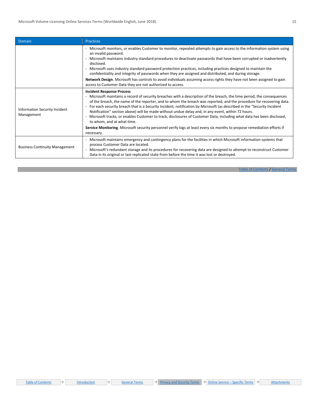<span id="page-14-0"></span>

| Domain                                      | <b>Practices</b>                                                                                                                                                                                                                                                                                                                                                                                                                                                                                                                                                                                                                                                                                                                                                                                                       |
|---------------------------------------------|------------------------------------------------------------------------------------------------------------------------------------------------------------------------------------------------------------------------------------------------------------------------------------------------------------------------------------------------------------------------------------------------------------------------------------------------------------------------------------------------------------------------------------------------------------------------------------------------------------------------------------------------------------------------------------------------------------------------------------------------------------------------------------------------------------------------|
|                                             | - Microsoft monitors, or enables Customer to monitor, repeated attempts to gain access to the information system using<br>an invalid password.<br>- Microsoft maintains industry standard procedures to deactivate passwords that have been corrupted or inadvertently<br>disclosed.<br>- Microsoft uses industry standard password protection practices, including practices designed to maintain the<br>confidentiality and integrity of passwords when they are assigned and distributed, and during storage.<br>Network Design. Microsoft has controls to avoid individuals assuming access rights they have not been assigned to gain<br>access to Customer Data they are not authorized to access.                                                                                                               |
| Information Security Incident<br>Management | <b>Incident Response Process</b><br>- Microsoft maintains a record of security breaches with a description of the breach, the time period, the consequences<br>of the breach, the name of the reporter, and to whom the breach was reported, and the procedure for recovering data.<br>For each security breach that is a Security Incident, notification by Microsoft (as described in the "Security Incident<br>Notification" section above) will be made without undue delay and, in any event, within 72 hours.<br>- Microsoft tracks, or enables Customer to track, disclosures of Customer Data, including what data has been disclosed,<br>to whom, and at what time.<br>Service Monitoring. Microsoft security personnel verify logs at least every six months to propose remediation efforts if<br>necessary. |
| <b>Business Continuity Management</b>       | - Microsoft maintains emergency and contingency plans for the facilities in which Microsoft information systems that<br>process Customer Data are located.<br>- Microsoft's redundant storage and its procedures for recovering data are designed to attempt to reconstruct Customer<br>Data in its original or last-replicated state from before the time it was lost or destroyed.                                                                                                                                                                                                                                                                                                                                                                                                                                   |

[Table of Contents](#page-1-0) / General Terms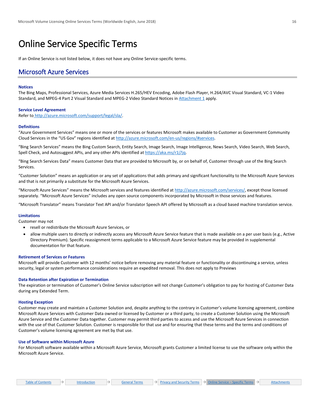## <span id="page-15-0"></span>Online Service Specific Terms

If an Online Service is not listed below, it does not have any Online Service-specific terms.

## <span id="page-15-1"></span>Microsoft Azure Services

#### **Notices**

The Bing Maps, Professional Services, Azure Media Services H.265/HEV Encoding, Adobe Flash Player, H.264/AVC Visual Standard, VC-1 Video Standard, and MPEG-4 Part 2 Visual Standard and MPEG-2 Video Standard Notices in [Attachment 1](#page-29-0) apply.

#### **Service Level Agreement**

Refer to http://azure.microsoft.com/support/legal/sla/.

#### **Definitions**

"Azure Government Services" means one or more of the services or features Microsoft makes available to Customer as Government Community Cloud Services in the "US Gov" regions identified a[t http://azure.microsoft.com/en-us/regions/#services.](http://azure.microsoft.com/en-us/regions/#services)

"Bing Search Services" means the Bing Custom Search, Entity Search, Image Search, Image Intelligence, News Search, Video Search, Web Search, Spell Check, and Autosuggest APIs, and any other APIs identified a[t https://aka.ms/r1j7jq.](https://aka.ms/r1j7jq)

"Bing Search Services Data" means Customer Data that are provided to Microsoft by, or on behalf of, Customer through use of the Bing Search Services.

"Customer Solution" means an application or any set of applications that adds primary and significant functionality to the Microsoft Azure Services and that is not primarily a substitute for the Microsoft Azure Services.

"Microsoft Azure Services" means the Microsoft services and features identified at [http://azure.microsoft.com/services/,](http://azure.microsoft.com/services/) except those licensed separately. "Microsoft Azure Services" includes any open source components incorporated by Microsoft in those services and features.

"Microsoft Translator" means Translator Text API and/or Translator Speech API offered by Microsoft as a cloud based machine translation service.

#### **Limitations**

Customer may not

- resell or redistribute the Microsoft Azure Services, or
- allow multiple users to directly or indirectly access any Microsoft Azure Service feature that is made available on a per user basis (e.g., Active Directory Premium). Specific reassignment terms applicable to a Microsoft Azure Service feature may be provided in supplemental documentation for that feature.

#### **Retirement of Services or Features**

Microsoft will provide Customer with 12 months' notice before removing any material feature or functionality or discontinuing a service, unless security, legal or system performance considerations require an expedited removal. This does not apply to Previews

#### **Data Retention after Expiration or Termination**

The expiration or termination of Customer's Online Service subscription will not change Customer's obligation to pay for hosting of Customer Data during any Extended Term.

#### **Hosting Exception**

Customer may create and maintain a Customer Solution and, despite anything to the contrary in Customer's volume licensing agreement, combine Microsoft Azure Services with Customer Data owned or licensed by Customer or a third party, to create a Customer Solution using the Microsoft Azure Service and the Customer Data together. Customer may permit third parties to access and use the Microsoft Azure Services in connection with the use of that Customer Solution. Customer is responsible for that use and for ensuring that these terms and the terms and conditions of Customer's volume licensing agreement are met by that use.

#### **Use of Software within Microsoft Azure**

For Microsoft software available within a Microsoft Azure Service, Microsoft grants Customer a limited license to use the software only within the Microsoft Azure Service.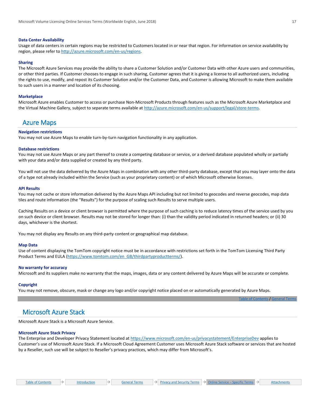#### **Data Center Availability**

Usage of data centers in certain regions may be restricted to Customers located in or near that region. For information on service availability by region, please refer to [http://azure.microsoft.com/en-us/regions.](http://azure.microsoft.com/en-us/regions)

#### **Sharing**

The Microsoft Azure Services may provide the ability to share a Customer Solution and/or Customer Data with other Azure users and communities, or other third parties. If Customer chooses to engage in such sharing, Customer agrees that it is giving a license to all authorized users, including the rights to use, modify, and repost its Customer Solution and/or the Customer Data, and Customer is allowing Microsoft to make them available to such users in a manner and location of its choosing.

#### **Marketplace**

Microsoft Azure enables Customer to access or purchase Non-Microsoft Products through features such as the Microsoft Azure Marketplace and the Virtual Machine Gallery, subject to separate terms available at [http://azure.microsoft.com/en-us/support/legal/store-terms.](http://azure.microsoft.com/en-us/support/legal/store-terms)

### <span id="page-16-0"></span>Azure Maps

#### **Navigation restrictions**

You may not use Azure Maps to enable turn-by-turn navigation functionality in any application.

#### **Database restrictions**

You may not use Azure Maps or any part thereof to create a competing database or service, or a derived database populated wholly or partially with your data and/or data supplied or created by any third party.

You will not use the data delivered by the Azure Maps in combination with any other third-party database, except that you may layer onto the data of a type not already included within the Service (such as your proprietary content) or of which Microsoft otherwise licenses.

#### **API Results**

You may not cache or store information delivered by the Azure Maps API including but not limited to geocodes and reverse geocodes, map data tiles and route information (the "Results") for the purpose of scaling such Results to serve multiple users.

Caching Results on a device or client browser is permitted where the purpose of such caching is to reduce latency times of the service used by you on such device or client browser. Results may not be stored for longer than: (i) than the validity period indicated in returned headers; or (ii) 30 days, whichever is the shortest.

You may not display any Results on any third-party content or geographical map database.

#### **Map Data**

Use of content displaying the TomTom copyright notice must be in accordance with restrictions set forth in the TomTom Licensing Third Party Product Terms and EULA [\(https://www.tomtom.com/en\\_GB/thirdpartyproductterms/\)](https://www.tomtom.com/en_GB/thirdpartyproductterms/).

#### **No warranty for accuracy**

Microsoft and its suppliers make no warranty that the maps, images, data or any content delivered by Azure Maps will be accurate or complete.

#### **Copyright**

You may not remove, obscure, mask or change any logo and/or copyright notice placed on or automatically generated by Azure Maps.

e of Contents / General Terms

## <span id="page-16-1"></span>Microsoft Azure Stack

Microsoft Azure Stack is a Microsoft Azure Service.

#### **Microsoft Azure Stack Privacy**

The Enterprise and Developer Privacy Statement located at [https://www.microsoft.com/en-us/privacystatement/EnterpriseDev](https://www.microsoft.com/en-us/privacystatement/EnterpriseDev/default.aspx) applies to Customer's use of Microsoft Azure Stack. If a Microsoft Cloud Agreement Customer uses Microsoft Azure Stack software or services that are hosted by a Reseller, such use will be subject to Reseller's privacy practices, which may differ from Microsoft's.

 $\left| \begin{array}{ccc} \text{Table of Contents} & \rightarrow & \text{Introduction} & \rightarrow & \text{General Terms} & \rightarrow & \text{Private} \rightarrow & \text{Online Service - Specific Terms} & \rightarrow & \text{Attention} \end{array} \right|$  $\left| \begin{array}{ccc} \text{Table of Contents} & \rightarrow & \text{Introduction} & \rightarrow & \text{General Terms} & \rightarrow & \text{Private} \rightarrow & \text{Online Service - Specific Terms} & \rightarrow & \text{Attention} \end{array} \right|$  $\left| \begin{array}{ccc} \text{Table of Contents} & \rightarrow & \text{Introduction} & \rightarrow & \text{General Terms} & \rightarrow & \text{Private} \rightarrow & \text{Online Service - Specific Terms} & \rightarrow & \text{Attention} \end{array} \right|$  $\left| \begin{array}{ccc} \text{Table of Contents} & \rightarrow & \text{Introduction} & \rightarrow & \text{General Terms} & \rightarrow & \text{Private} \rightarrow & \text{Online Service - Specific Terms} & \rightarrow & \text{Attention} \end{array} \right|$  $\left| \begin{array}{ccc} \text{Table of Contents} & \rightarrow & \text{Introduction} & \rightarrow & \text{General Terms} & \rightarrow & \text{Private} \rightarrow & \text{Online Service - Specific Terms} & \rightarrow & \text{Attention} \end{array} \right|$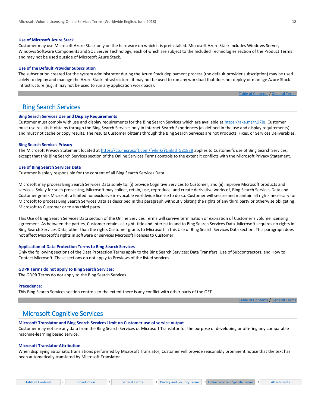#### **Use of Microsoft Azure Stack**

Customer may use Microsoft Azure Stack only on the hardware on which it is preinstalled. Microsoft Azure Stack includes Windows Server, Windows Software Components and SQL Server Technology, each of which are subject to the Included Technologies section of the Product Terms and may not be used outside of Microsoft Azure Stack.

#### **Use of the Default Provider Subscription**

The subscription created for the system administrator during the Azure Stack deployment process (the default provider subscription) may be used solely to deploy and manage the Azure Stack infrastructure; it may not be used to run any workload that does not deploy or manage Azure Stack infrastructure (e.g. it may not be used to run any application workloads).

able of Contents / General Terms

## <span id="page-17-0"></span>Bing Search Services

#### **Bing Search Services Use and Display Requirements**

Customer must comply with use and display requirements for the Bing Search Services which are available at [https://aka.ms/r1j7jq.](https://aka.ms/r1j7jq) Customer must use results it obtains through the Bing Search Services only in Internet Search Experiences (as defined in the use and display requirements) and must not cache or copy results. The results Customer obtains through the Bing Search Services are not Products, Fixes, or Services Deliverables.

#### **Bing Search Services Privacy**

The Microsoft Privacy Statement located a[t https://go.microsoft.com/fwlink/?LinkId=521839](https://go.microsoft.com/fwlink/?LinkId=521839) applies to Customer's use of Bing Search Services, except that this Bing Search Services section of the Online Services Terms controls to the extent it conflicts with the Microsoft Privacy Statement.

#### **Use of Bing Search Services Data**

Customer is solely responsible for the content of all Bing Search Services Data.

Microsoft may process Bing Search Services Data solely to: (i) provide Cognitive Services to Customer; and (ii) improve Microsoft products and services. Solely for such processing, Microsoft may collect, retain, use, reproduce, and create derivative works of, Bing Search Services Data and Customer grants Microsoft a limited nonexclusive irrevocable worldwide license to do so. Customer will secure and maintain all rights necessary for Microsoft to process Bing Search Services Data as described in this paragraph without violating the rights of any third party or otherwise obligating Microsoft to Customer or to any third party.

This Use of Bing Search Services Data section of the Online Services Terms will survive termination or expiration of Customer's volume licensing agreement. As between the parties, Customer retains all right, title and interest in and to Bing Search Services Data. Microsoft acquires no rights in Bing Search Services Data, other than the rights Customer grants to Microsoft in this Use of Bing Search Services Data section. This paragraph does not affect Microsoft's rights in software or services Microsoft licenses to Customer.

#### **Application of Data Protection Terms to Bing Search Services**

Only the following sections of the Data Protection Terms apply to the Bing Search Services: Data Transfers, Use of Subcontractors, and How to Contact Microsoft. These sections do not apply to Previews of the listed services.

#### **GDPR Terms do not apply to Bing Search Services:**

The GDPR Terms do not apply to the Bing Search Services.

#### **Precedence:**

This Bing Search Services section controls to the extent there is any conflict with other parts of the OST.

[Table of Contents](#page-1-0) / General Terms

## <span id="page-17-1"></span>Microsoft Cognitive Services

#### **Microsoft Translator and Bing Search Services Limit on Customer use of service output**

Customer may not use any data from the Bing Search Services or Microsoft Translator for the purpose of developing or offering any comparable machine-learning based service.

#### **Microsoft Translator Attribution**

When displaying automatic translations performed by Microsoft Translator, Customer will provide reasonably prominent notice that the text has been automatically translated by Microsoft Translator.

 $\left| \begin{array}{ccc} \text{Table of Contents} & \rightarrow & \text{Introduction} & \rightarrow & \text{General Terms} & \rightarrow & \text{Private} \rightarrow & \text{Online Service - Specific Terms} & \rightarrow & \text{Attention} \end{array} \right|$  $\left| \begin{array}{ccc} \text{Table of Contents} & \rightarrow & \text{Introduction} & \rightarrow & \text{General Terms} & \rightarrow & \text{Private} \rightarrow & \text{Online Service - Specific Terms} & \rightarrow & \text{Attention} \end{array} \right|$  $\left| \begin{array}{ccc} \text{Table of Contents} & \rightarrow & \text{Introduction} & \rightarrow & \text{General Terms} & \rightarrow & \text{Private} \rightarrow & \text{Online Service - Specific Terms} & \rightarrow & \text{Attention} \end{array} \right|$  $\left| \begin{array}{ccc} \text{Table of Contents} & \rightarrow & \text{Introduction} & \rightarrow & \text{General Terms} & \rightarrow & \text{Private} \rightarrow & \text{Online Service - Specific Terms} & \rightarrow & \text{Attention} \end{array} \right|$  $\left| \begin{array}{ccc} \text{Table of Contents} & \rightarrow & \text{Introduction} & \rightarrow & \text{General Terms} & \rightarrow & \text{Private} \rightarrow & \text{Online Service - Specific Terms} & \rightarrow & \text{Attention} \end{array} \right|$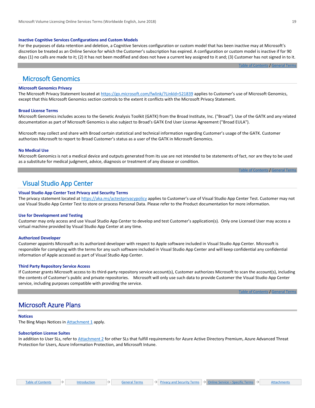#### **Inactive Cognitive Services Configurations and Custom Models**

For the purposes of data retention and deletion, a Cognitive Services configuration or custom model that has been inactive may at Microsoft's discretion be treated as an Online Service for which the Customer's subscription has expired. A configuration or custom model is inactive if for 90 days (1) no calls are made to it; (2) it has not been modified and does not have a current key assigned to it and; (3) Customer has not signed in to it.

e of Contents / General Terms

## <span id="page-18-0"></span>Microsoft Genomics

#### **Microsoft Genomics Privacy**

The Microsoft Privacy Statement located a[t https://go.microsoft.com/fwlink/?LinkId=521839](https://go.microsoft.com/fwlink/?LinkId=521839) applies to Customer's use of Microsoft Genomics, except that this Microsoft Genomics section controls to the extent it conflicts with the Microsoft Privacy Statement.

#### **Broad License Terms**

Microsoft Genomics includes access to the Genetic Analysis Toolkit (GATK) from the Broad Institute, Inc. ("Broad"). Use of the GATK and any related documentation as part of Microsoft Genomics is also subject to Broad's GATK End User License Agreement ("Broad EULA").

Microsoft may collect and share with Broad certain statistical and technical information regarding Customer's usage of the GATK. Customer authorizes Microsoft to report to Broad Customer's status as a user of the GATK in Microsoft Genomics.

#### **No Medical Use**

Microsoft Genomics is not a medical device and outputs generated from its use are not intended to be statements of fact, nor are they to be used as a substitute for medical judgment, advice, diagnosis or treatment of any disease or condition.

[Table of Contents](#page-1-0) / General Terms

## <span id="page-18-1"></span>Visual Studio App Center

#### **Visual Studio App Center Test Privacy and Security Terms**

The privacy statement located a[t https://aka.ms/actestprivacypolicy](https://aka.ms/actestprivacypolicy) applies to Customer's use of Visual Studio App Center Test. Customer may not use Visual Studio App Center Test to store or process Personal Data. Please refer to the Product documentation for more information.

#### **Use for Development and Testing**

Customer may only access and use Visual Studio App Center to develop and test Customer's application(s). Only one Licensed User may access a virtual machine provided by Visual Studio App Center at any time.

#### **Authorized Developer**

Customer appoints Microsoft as its authorized developer with respect to Apple software included in Visual Studio App Center. Microsoft is responsible for complying with the terms for any such software included in Visual Studio App Center and will keep confidential any confidential information of Apple accessed as part of Visual Studio App Center.

#### **Third Party Repository Service Access**

If Customer grants Microsoft access to its third-party repository service account(s), Customer authorizes Microsoft to scan the account(s), including the contents of Customer's public and private repositories. Microsoft will only use such data to provide Customer the Visual Studio App Center service, including purposes compatible with providing the service.

able of Contents / General Terms

## <span id="page-18-2"></span>Microsoft Azure Plans

#### **Notices**

The Bing Maps Notices in **Attachment 1** apply.

#### **Subscription License Suites**

In addition to User SLs, refer t[o Attachment 2](#page-33-0) for other SLs that fulfill requirements for Azure Active Directory Premium, Azure Advanced Threat Protection for Users, Azure Information Protection, and Microsoft Intune.

[Table of Contents](#page-1-0)  $\begin{array}{ccc} \rightarrow & \text{Interduction} \\ \end{array}$   $\begin{array}{ccc} \rightarrow & \text{General Terms} \\ \end{array}$  Privacy and Security Terms  $\begin{array}{ccc} \rightarrow & \text{Online Service - Specific Terms} \\ \end{array}$  $\begin{array}{ccc} \rightarrow & \text{Online Service - Specific Terms} \\ \end{array}$  $\begin{array}{ccc} \rightarrow & \text{Online Service - Specific Terms} \\ \end{array}$  [Attachments](#page-29-0)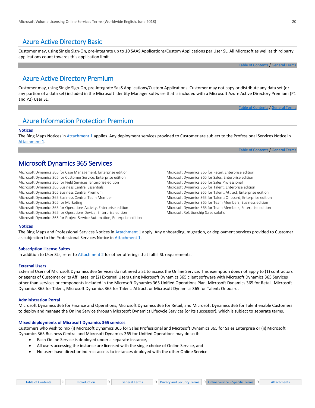## <span id="page-19-0"></span>Azure Active Directory Basic

Customer may, using Single Sign-On, pre-integrate up to 10 SAAS Applications/Custom Applications per User SL. All Microsoft as well as third party applications count towards this application limit.

[Table of Contents](#page-1-0) / General Terms

[Table of Contents](#page-1-0) / General Terms

[Table of Contents](#page-1-0) / General Terms

## <span id="page-19-1"></span>Azure Active Directory Premium

Customer may, using Single Sign-On, pre-integrate SaaS Applications/Custom Applications. Customer may not copy or distribute any data set (or any portion of a data set) included in the Microsoft Identity Manager software that is included with a Microsoft Azure Active Directory Premium (P1 and P2) User SL.

## <span id="page-19-2"></span>Azure Information Protection Premium

#### **Notices**

The Bing Maps Notices i[n Attachment 1](#page-29-0) applies. Any deployment services provided to Customer are subject to the Professional Services Notice in [Attachment 1.](#page-29-0)

## <span id="page-19-3"></span>Microsoft Dynamics 365 Services

| Microsoft Dynamics 365 for Case Management, Enterprise edition            | Microsoft Dynamics 365 for Retail, Enterprise edition          |
|---------------------------------------------------------------------------|----------------------------------------------------------------|
| Microsoft Dynamics 365 for Customer Service, Enterprise edition           | Microsoft Dynamics 365 for Sales, Enterprise edition           |
| Microsoft Dynamics 365 for Field Services, Enterprise edition             | Microsoft Dynamics 365 for Sales Professional                  |
| Microsoft Dynamics 365 Business Central Essentials                        | Microsoft Dynamics 365 for Talent, Enterprise edition          |
| Microsoft Dynamics 365 Business Central Premium                           | Microsoft Dynamics 365 for Talent: Attract, Enterprise edition |
| Microsoft Dynamics 365 Business Central Team Member                       | Microsoft Dynamics 365 for Talent: Onboard, Enterprise edition |
| Microsoft Dynamics 365 for Marketing                                      | Microsoft Dynamics 365 for Team Members, Business edition      |
| Microsoft Dynamics 365 for Operations Activity, Enterprise edition        | Microsoft Dynamics 365 for Team Members, Enterprise edition    |
| Microsoft Dynamics 365 for Operations Device, Enterprise edition          | Microsoft Relationship Sales solution                          |
| Microsoft Dynamics 365 for Project Service Automation, Enterprise edition |                                                                |

#### **Notices**

The Bing Maps and Professional Services Notices i[n Attachment 1](#page-29-0) apply. Any onboarding, migration, or deployment services provided to Customer as subjection to the Professional Services Notice in [Attachment 1.](#page-29-0)

#### **Subscription License Suites**

In addition to User SLs, refer to **Attachment 2** for other offerings that fulfill SL requirements.

#### **External Users**

External Users of Microsoft Dynamics 365 Services do not need a SL to access the Online Service. This exemption does not apply to (1) contractors or agents of Customer or its Affiliates, or (2) External Users using Microsoft Dynamics 365 client software with Microsoft Dynamics 365 Services other than services or components included in the Microsoft Dynamics 365 Unified Operations Plan, Microsoft Dynamics 365 for Retail, Microsoft Dynamics 365 for Talent, Microsoft Dynamics 365 for Talent: Attract, or Microsoft Dynamics 365 for Talent: Onboard.

#### **Administration Portal**

Microsoft Dynamics 365 for Finance and Operations, Microsoft Dynamics 365 for Retail, and Microsoft Dynamics 365 for Talent enable Customers to deploy and manage the Online Service through Microsoft Dynamics Lifecycle Services (or its successor), which is subject to separate terms.

#### **Mixed deployments of Microsoft Dynamics 365 services**

Customers who wish to mix (i) Microsoft Dynamics 365 for Sales Professional and Microsoft Dynamics 365 for Sales Enterprise or (ii) Microsoft Dynamics 365 Business Central and Microsoft Dynamics 365 for Unified Operations may do so if:

- Each Online Service is deployed under a separate instance,
- All users accessing the instance are licensed with the single choice of Online Service, and
- No users have direct or indirect access to instances deployed with the other Online Service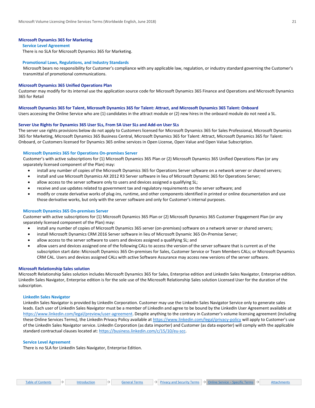#### **Microsoft Dynamics 365 for Marketing**

#### **Service Level Agreement**

There is no SLA for Microsoft Dynamics 365 for Marketing.

#### **Promotional Laws, Regulations, and Industry Standards**

Microsoft bears no responsibility for Customer's compliance with any applicable law, regulation, or industry standard governing the Customer's transmittal of promotional communications.

#### **Microsoft Dynamics 365 Unified Operations Plan**

Customer may modify for its internal use the application source code for Microsoft Dynamics 365 Finance and Operations and Microsoft Dynamics 365 for Retail

#### **Microsoft Dynamics 365 for Talent, Microsoft Dynamics 365 for Talent: Attract, and Microsoft Dynamics 365 Talent: Onboard**

Users accessing the Online Service who are (1) candidates in the attract module or (2) new hires in the onboard module do not need a SL.

#### **Server Use Rights for Dynamics 365 User SLs, From SA User SLs and Add-on User SLs**

The server use rights provisions below do not apply to Customers licensed for Microsoft Dynamics 365 for Sales Professional, Microsoft Dynamics 365 for Marketing, Microsoft Dynamics 365 Business Central, Microsoft Dynamics 365 for Talent: Attract, Microsoft Dynamics 365 for Talent: Onboard, or Customers licensed for Dynamics 365 online services in Open License, Open Value and Open Value Subscription.

#### **Microsoft Dynamics 365 for Operations On-premises Server**

Customer's with active subscriptions for (1) Microsoft Dynamics 365 Plan or (2) Microsoft Dynamics 365 Unified Operations Plan (or any separately licensed component of the Plan) may:

- install any number of copies of the Microsoft Dynamics 365 for Operations Server software on a network server or shared servers;
- install and use Microsoft Dynamics AX 2012 R3 Server software in lieu of Microsoft Dynamic 365 for Operations Server;
- allow access to the server software only to users and devices assigned a qualifying SL;
- receive and use updates related to government tax and regulatory requirements on the server software; and
- modify or create derivative works of plug-ins, runtime, and other components identified in printed or online documentation and use those derivative works, but only with the server software and only for Customer's internal purposes.

#### **Microsoft Dynamics 365 On-premises Server**

Customer with active subscriptions for (1) Microsoft Dynamics 365 Plan or (2) Microsoft Dynamics 365 Customer Engagement Plan (or any separately licensed component of the Plan) may:

- install any number of copies of Microsoft Dynamics 365 server (on-premises) software on a network server or shared servers;
- install Microsoft Dynamics CRM 2016 Server software in lieu of Microsoft Dynamic 365 On-Premise Server;
- allow access to the server software to users and devices assigned a qualifying SL; and
- allow users and devices assigned one of the following CALs to access the version of the server software that is current as of the subscription start date: Microsoft Dynamics 365 On-premises for Sales, Customer Service or Team Members CALs; or Microsoft Dynamics CRM CAL. Users and devices assigned CALs with active Software Assurance may access new versions of the server software.

#### **Microsoft Relationship Sales solution**

Microsoft Relationship Sales solution includes Microsoft Dynamics 365 for Sales, Enterprise edition and LinkedIn Sales Navigator, Enterprise edition. LinkedIn Sales Navigator, Enterprise edition is for the sole use of the Microsoft Relationship Sales solution Licensed User for the duration of the subscription.

#### **LinkedIn Sales Navigator**

LinkedIn Sales Navigator is provided by LinkedIn Corporation. Customer may use the LinkedIn Sales Navigator Service only to generate sales leads. Each user of LinkedIn Sales Navigator must be a member of LinkedIn and agree to be bound by the LinkedIn User Agreement available at [https://www.linkedin.com/legal/preview/user-agreement.](https://www.linkedin.com/legal/preview/user-agreement) Despite anything to the contrary in Customer's volume licensing agreement (including these Online Services Terms), the LinkedIn Privacy Policy available a[t https://www.linkedin.com/legal/privacy-policy](https://www.linkedin.com/legal/privacy-policy) will apply to Customer's use of the LinkedIn Sales Navigator service. LinkedIn Corporation (as data importer) and Customer (as data exporter) will comply with the applicable standard contractual clauses located at: https://business.linkedin.com/c/15/10/eu-scc.

#### **Service Level Agreement**

There is no SLA for LinkedIn Sales Navigator, Enterprise Edition.

 $\left| \begin{array}{ccc} \text{Table of Contents} & \rightarrow & \text{Introduction} & \rightarrow & \text{General Terms} & \rightarrow & \text{Private} \rightarrow & \text{Online Service - Specific Terms} & \rightarrow & \text{Attention} \end{array} \right|$  $\left| \begin{array}{ccc} \text{Table of Contents} & \rightarrow & \text{Introduction} & \rightarrow & \text{General Terms} & \rightarrow & \text{Private} \rightarrow & \text{Online Service - Specific Terms} & \rightarrow & \text{Attention} \end{array} \right|$  $\left| \begin{array}{ccc} \text{Table of Contents} & \rightarrow & \text{Introduction} & \rightarrow & \text{General Terms} & \rightarrow & \text{Private} \rightarrow & \text{Online Service - Specific Terms} & \rightarrow & \text{Attention} \end{array} \right|$  $\left| \begin{array}{ccc} \text{Table of Contents} & \rightarrow & \text{Introduction} & \rightarrow & \text{General Terms} & \rightarrow & \text{Private} \rightarrow & \text{Online Service - Specific Terms} & \rightarrow & \text{Attention} \end{array} \right|$  $\left| \begin{array}{ccc} \text{Table of Contents} & \rightarrow & \text{Introduction} & \rightarrow & \text{General Terms} & \rightarrow & \text{Private} \rightarrow & \text{Online Service - Specific Terms} & \rightarrow & \text{Attention} \end{array} \right|$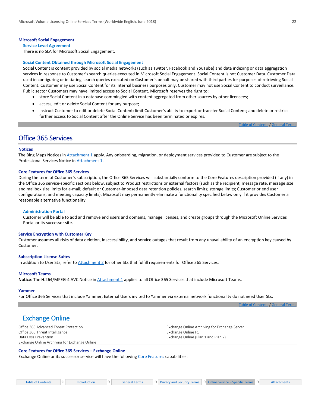#### **Microsoft Social Engagement**

#### **Service Level Agreement**

There is no SLA for Microsoft Social Engagement.

#### **Social Content Obtained through Microsoft Social Engagement**

Social Content is content provided by social media networks (such as Twitter, Facebook and YouTube) and data indexing or data aggregation services in response to Customer's search queries executed in Microsoft Social Engagement. Social Content is not Customer Data. Customer Data used in configuring or initiating search queries executed on Customer's behalf may be shared with third parties for purposes of retrieving Social Content. Customer may use Social Content for its internal business purposes only. Customer may not use Social Content to conduct surveillance. Public sector Customers may have limited access to Social Content. Microsoft reserves the right to:

- store Social Content in a database commingled with content aggregated from other sources by other licensees;
- access, edit or delete Social Content for any purpose;
- instruct Customer to edit or delete Social Content; limit Customer's ability to export or transfer Social Content; and delete or restrict further access to Social Content after the Online Service has been terminated or expires.

[Table of Contents](#page-1-0) / General Terms

## <span id="page-21-0"></span>Office 365 Services

#### **Notices**

The Bing Maps Notices i[n Attachment 1](#page-29-0) apply. Any onboarding, migration, or deployment services provided to Customer are subject to the Professional Services Notice i[n Attachment 1.](#page-29-0)

#### <span id="page-21-2"></span>**Core Features for Office 365 Services**

During the term of Customer's subscription, the Office 365 Services will substantially conform to the Core Features description provided (if any) in the Office 365 service-specific sections below, subject to Product restrictions or external factors (such as the recipient, message rate, message size and mailbox size limits for e-mail; default or Customer-imposed data retention policies; search limits; storage limits; Customer or end user configurations; and meeting capacity limits). Microsoft may permanently eliminate a functionality specified below only if it provides Customer a reasonable alternative functionality.

#### **Administration Portal**

Customer will be able to add and remove end users and domains, manage licenses, and create groups through the Microsoft Online Services Portal or its successor site.

#### **Service Encryption with Customer Key**

Customer assumes all risks of data deletion, inaccessibility, and service outages that result from any unavailability of an encryption key caused by Customer.

#### **Subscription License Suites**

In addition to User SLs, refer t[o Attachment 2](#page-33-0) for other SLs that fulfill requirements for Office 365 Services.

#### **Microsoft Teams**

**Notice**: The H.264/MPEG-4 AVC Notice i[n Attachment 1](#page-29-0) applies to all Office 365 Services that include Microsoft Teams.

#### **Yammer**

For Office 365 Services that include Yammer, External Users invited to Yammer via external network functionality do not need User SLs.

[Table of Contents](#page-1-0) / General Terms

## <span id="page-21-1"></span>Exchange Online

Office 365 Advanced Threat Protection Office 365 Threat Intelligence Data Loss Prevention Exchange Online Archiving for Exchange Online Exchange Online Archiving for Exchange Server Exchange Online F1 Exchange Online (Plan 1 and Plan 2)

#### **Core Features for Office 365 Services – Exchange Online**

Exchange Online or its successor service will have the followin[g Core Features](#page-21-2) capabilities:

 $\left| \begin{array}{ccc} \text{Table of Contents} & \rightarrow & \text{Introduction} & \rightarrow & \text{General Terms} & \rightarrow & \text{Private} \rightarrow & \text{Online Service - Specific Terms} & \rightarrow & \text{Attention} \end{array} \right|$  $\left| \begin{array}{ccc} \text{Table of Contents} & \rightarrow & \text{Introduction} & \rightarrow & \text{General Terms} & \rightarrow & \text{Private} \rightarrow & \text{Online Service - Specific Terms} & \rightarrow & \text{Attention} \end{array} \right|$  $\left| \begin{array}{ccc} \text{Table of Contents} & \rightarrow & \text{Introduction} & \rightarrow & \text{General Terms} & \rightarrow & \text{Private} \rightarrow & \text{Online Service - Specific Terms} & \rightarrow & \text{Attention} \end{array} \right|$  $\left| \begin{array}{ccc} \text{Table of Contents} & \rightarrow & \text{Introduction} & \rightarrow & \text{General Terms} & \rightarrow & \text{Private} \rightarrow & \text{Online Service - Specific Terms} & \rightarrow & \text{Attention} \end{array} \right|$  $\left| \begin{array}{ccc} \text{Table of Contents} & \rightarrow & \text{Introduction} & \rightarrow & \text{General Terms} & \rightarrow & \text{Private} \rightarrow & \text{Online Service - Specific Terms} & \rightarrow & \text{Attention} \end{array} \right|$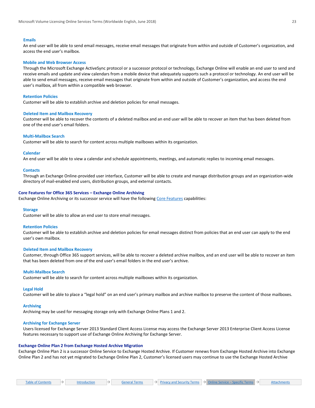#### **Emails**

An end user will be able to send email messages, receive email messages that originate from within and outside of Customer's organization, and access the end user's mailbox.

#### **Mobile and Web Browser Access**

Through the Microsoft Exchange ActiveSync protocol or a successor protocol or technology, Exchange Online will enable an end user to send and receive emails and update and view calendars from a mobile device that adequately supports such a protocol or technology. An end user will be able to send email messages, receive email messages that originate from within and outside of Customer's organization, and access the end user's mailbox, all from within a compatible web browser.

#### **Retention Policies**

Customer will be able to establish archive and deletion policies for email messages.

#### **Deleted Item and Mailbox Recovery**

Customer will be able to recover the contents of a deleted mailbox and an end user will be able to recover an item that has been deleted from one of the end user's email folders.

#### **Multi-Mailbox Search**

Customer will be able to search for content across multiple mailboxes within its organization.

#### **Calendar**

An end user will be able to view a calendar and schedule appointments, meetings, and automatic replies to incoming email messages.

#### **Contacts**

Through an Exchange Online-provided user interface, Customer will be able to create and manage distribution groups and an organization-wide directory of mail-enabled end users, distribution groups, and external contacts.

#### **Core Features for Office 365 Services – Exchange Online Archiving**

Exchange Online Archiving or its successor service will have the followin[g Core Features](#page-21-2) capabilities:

#### **Storage**

Customer will be able to allow an end user to store email messages.

#### **Retention Policies**

Customer will be able to establish archive and deletion policies for email messages distinct from policies that an end user can apply to the end user's own mailbox.

#### **Deleted Item and Mailbox Recovery**

Customer, through Office 365 support services, will be able to recover a deleted archive mailbox, and an end user will be able to recover an item that has been deleted from one of the end user's email folders in the end user's archive.

#### **Multi-Mailbox Search**

Customer will be able to search for content across multiple mailboxes within its organization.

#### **Legal Hold**

Customer will be able to place a "legal hold" on an end user's primary mailbox and archive mailbox to preserve the content of those mailboxes.

#### **Archiving**

Archiving may be used for messaging storage only with Exchange Online Plans 1 and 2.

#### **Archiving for Exchange Server**

Users licensed for Exchange Server 2013 Standard Client Access License may access the Exchange Server 2013 Enterprise Client Access License features necessary to support use of Exchange Online Archiving for Exchange Server.

#### **Exchange Online Plan 2 from Exchange Hosted Archive Migration**

Exchange Online Plan 2 is a successor Online Service to Exchange Hosted Archive. If Customer renews from Exchange Hosted Archive into Exchange Online Plan 2 and has not yet migrated to Exchange Online Plan 2, Customer's licensed users may continue to use the Exchange Hosted Archive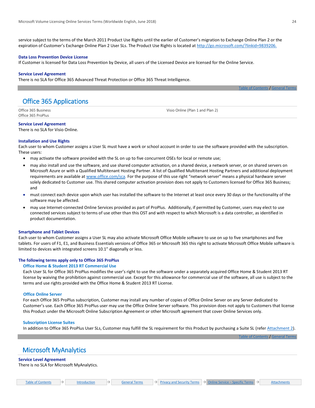service subject to the terms of the March 2011 Product Use Rights until the earlier of Customer's migration to Exchange Online Plan 2 or the expiration of Customer's Exchange Online Plan 2 User SLs. The Product Use Rights is located at [http://go.microsoft.com/?linkid=9839206.](http://go.microsoft.com/?linkid=9839206)

#### **Data Loss Prevention Device License**

If Customer is licensed for Data Loss Prevention by Device, all users of the Licensed Device are licensed for the Online Service.

#### **Service Level Agreement**

There is no SLA for Office 365 Advanced Threat Protection or Office 365 Threat Intelligence.

e of Contents / General Terms

## <span id="page-23-0"></span>Office 365 Applications

Office 365 Business Office 365 ProPlus

Visio Online (Plan 1 and Plan 2)

### **Service Level Agreement**

There is no SLA for Visio Online.

#### **Installation and Use Rights**

Each user to whom Customer assigns a User SL must have a work or school account in order to use the software provided with the subscription. These users:

- may activate the software provided with the SL on up to five concurrent OSEs for local or remote use;
- may also install and use the software, and use shared computer activation, on a shared device, a network server, or on shared servers on Microsoft Azure or with a Qualified Multitenant Hosting Partner. A list of Qualified Multitenant Hosting Partners and additional deployment requirements are available at [www.office.com/sca.](http://www.office.com/sca) For the purpose of this use right "network server" means a physical hardware server solely dedicated to Customer use. This shared computer activation provision does not apply to Customers licensed for Office 365 Business; and
- must connect each device upon which user has installed the software to the Internet at least once every 30 days or the functionality of the software may be affected.
- may use Internet-connected Online Services provided as part of ProPlus. Additionally, if permitted by Customer, users may elect to use connected services subject to terms of use other than this OST and with respect to which Microsoft is a data controller, as identified in product documentation.

#### **Smartphone and Tablet Devices**

Each user to whom Customer assigns a User SL may also activate Microsoft Office Mobile software to use on up to five smartphones and five tablets. For users of F1, E1, and Business Essentials versions of Office 365 or Microsoft 365 this right to activate Microsoft Office Mobile software is limited to devices with integrated screens 10.1" diagonally or less.

#### **The following terms apply only to Office 365 ProPlus**

#### **Office Home & Student 2013 RT Commercial Use**

Each User SL for Office 365 ProPlus modifies the user's right to use the software under a separately acquired Office Home & Student 2013 RT license by waiving the prohibition against commercial use. Except for this allowance for commercial use of the software, all use is subject to the terms and use rights provided with the Office Home & Student 2013 RT License.

#### **Office Online Server**

For each Office 365 ProPlus subscription, Customer may install any number of copies of Office Online Server on any Server dedicated to Customer's use. Each Office 365 ProPlus user may use the Office Online Server software. This provision does not apply to Customers that license this Product under the Microsoft Online Subscription Agreement or other Microsoft agreement that cover Online Services only.

#### **Subscription License Suites**

In addition to Office 365 ProPlus User SLs, Customer may fulfill the SL requirement for this Product by purchasing a Suite SL (refe[r Attachment 2\)](#page-33-0).

f Contents / General Terms

## <span id="page-23-1"></span>Microsoft MyAnalytics

#### **Service Level Agreement**

There is no SLA for Microsoft MyAnalytics.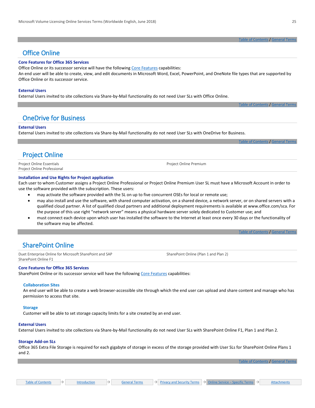## <span id="page-24-1"></span>**External Users**

External Users invited to site collections via Share-by-Mail functionality do not need User SLs with OneDrive for Business.

<span id="page-24-2"></span>Project Online

Project Online Essentials Project Online Professional

### **Installation and Use Rights for Project application**

Each user to whom Customer assigns a Project Online Professional or Project Online Premium User SL must have a Microsoft Account in order to use the software provided with the subscription. These users:

- may activate the software provided with the SL on up to five concurrent OSEs for local or remote use;
- may also install and use the software, with shared computer activation, on a shared device, a network server, or on shared servers with a qualified cloud partner. A list of qualified cloud partners and additional deployment requirements is available at www.office.com/sca. For the purpose of this use right "network server" means a physical hardware server solely dedicated to Customer use; and
- must connect each device upon which user has installed the software to the Internet at least once every 30 days or the functionality of the software may be affected.

[Table of Contents](#page-1-0) / General Terms

## <span id="page-24-3"></span>SharePoint Online

Duet Enterprise Online for Microsoft SharePoint and SAP SharePoint Online F1

SharePoint Online (Plan 1 and Plan 2)

## **Core Features for Office 365 Services**

SharePoint Online or its successor service will have the following [Core Features](#page-21-2) capabilities:

### **Collaboration Sites**

An end user will be able to create a web browser-accessible site through which the end user can upload and share content and manage who has permission to access that site.

#### **Storage**

Customer will be able to set storage capacity limits for a site created by an end user.

## **External Users**

External Users invited to site collections via Share-by-Mail functionality do not need User SLs with SharePoint Online F1, Plan 1 and Plan 2.

### **Storage Add-on SLs**

Office 365 Extra File Storage is required for each gigabyte of storage in excess of the storage provided with User SLs for SharePoint Online Plans 1 and 2.

[Table of Contents](#page-1-0) / General Terms

[Table of Contents](#page-1-0) / General Terms

of Contents / General Term



### Project Online Premium

## <span id="page-24-0"></span>Office Online

### **Core Features for Office 365 Services**

Office Online or its successor service will have the followin[g Core Features](#page-21-2) capabilities:

An end user will be able to create, view, and edit documents in Microsoft Word, Excel, PowerPoint, and OneNote file types that are supported by Office Online or its successor service.

### **External Users**

External Users invited to site collections via Share-by-Mail functionality do not need User SLs with Office Online.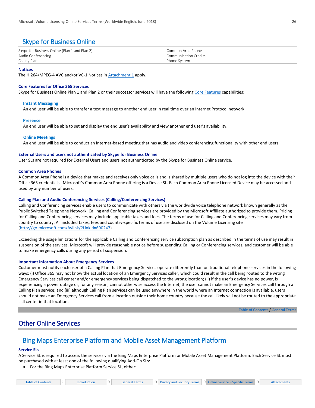## <span id="page-25-0"></span>Skype for Business Online

Skype for Business Online (Plan 1 and Plan 2) Audio Conferencing Calling Plan

Common Area Phone Communication Credits Phone System

#### **Notices**

The H.264/MPEG-4 AVC and/or VC-1 Notices i[n Attachment 1](#page-29-0) apply.

#### **Core Features for Office 365 Services**

Skype for Business Online Plan 1 and Plan 2 or their successor services will have the followin[g Core Features](#page-21-2) capabilities:

#### **Instant Messaging**

An end user will be able to transfer a text message to another end user in real time over an Internet Protocol network.

#### **Presence**

An end user will be able to set and display the end user's availability and view another end user's availability.

#### **Online Meetings**

An end user will be able to conduct an Internet-based meeting that has audio and video conferencing functionality with other end users.

#### **External Users and users not authenticated by Skype for Business Online**

User SLs are not required for External Users and users not authenticated by the Skype for Business Online service.

#### **Common Area Phones**

A Common Area Phone is a device that makes and receives only voice calls and is shared by multiple users who do not log into the device with their Office 365 credentials. Microsoft's Common Area Phone offering is a Device SL. Each Common Area Phone Licensed Device may be accessed and used by any number of users.

#### **Calling Plan and Audio Conferencing Services (Calling/Conferencing Services)**

Calling and Conferencing services enable users to communicate with others via the worldwide voice telephone network known generally as the Public Switched Telephone Network. Calling and Conferencing services are provided by the Microsoft Affiliate authorized to provide them. Pricing for Calling and Conferencing services may include applicable taxes and fees. The terms of use for Calling and Conferencing services may vary from country to country. All included taxes, fees and country-specific terms of use are disclosed on the Volume Licensing site [\(http://go.microsoft.com/fwlink/?LinkId=690247\)](http://go.microsoft.com/fwlink/?LinkId=690247).

Exceeding the usage limitations for the applicable Calling and Conferencing service subscription plan as described in the terms of use may result in suspension of the services. Microsoft will provide reasonable notice before suspending Calling or Conferencing services, and customer will be able to make emergency calls during any period of suspension.

#### **Important Information About Emergency Services**

Customer must notify each user of a Calling Plan that Emergency Services operate differently than on traditional telephone services in the following ways: (i) Office 365 may not know the actual location of an Emergency Services caller, which could result in the call being routed to the wrong Emergency Services call center and/or emergency services being dispatched to the wrong location; (ii) if the user's device has no power, is experiencing a power outage or, for any reason, cannot otherwise access the Internet, the user cannot make an Emergency Services call through a Calling Plan service; and (iii) although Calling Plan services can be used anywhere in the world where an Internet connection is available, users should not make an Emergency Services call from a location outside their home country because the call likely will not be routed to the appropriate call center in that location.

[Table of Contents](#page-1-0) / General Terms

## <span id="page-25-1"></span>Other Online Services

## <span id="page-25-2"></span>Bing Maps Enterprise Platform and Mobile Asset Management Platform

#### **Service SLs**

A Service SL is required to access the services via the Bing Maps Enterprise Platform or Mobile Asset Management Platform. Each Service SL must be purchased with at least one of the following qualifying Add-On SLs:

• For the Bing Maps Enterprise Platform Service SL, either: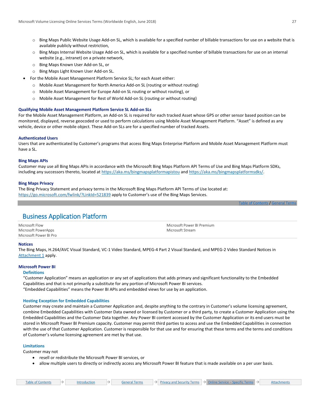- o Bing Maps Public Website Usage Add-on SL, which is available for a specified number of billable transactions for use on a website that is available publicly without restriction,
- o Bing Maps Internal Website Usage Add-on SL, which is available for a specified number of billable transactions for use on an internal website (e.g., intranet) on a private network,
- o Bing Maps Known User Add-on SL, or
- o Bing Maps Light Known User Add-on SL.
- For the Mobile Asset Management Platform Service SL; for each Asset either:
	- o Mobile Asset Management for North America Add-on SL (routing or without routing)
	- o Mobile Asset Management for Europe Add-on SL routing or without routing), or
	- o Mobile Asset Management for Rest of World Add-on SL (routing or without routing)

#### **Qualifying Mobile Asset Management Platform Service SL Add-on SLs**

For the Mobile Asset Management Platform, an Add-on SL is required for each tracked Asset whose GPS or other sensor based position can be monitored, displayed, reverse geocoded or used to perform calculations using Mobile Asset Management Platform. "Asset" is defined as any vehicle, device or other mobile object. These Add-on SLs are for a specified number of tracked Assets.

#### **Authenticated Users**

Users that are authenticated by Customer's programs that access Bing Maps Enterprise Platform and Mobile Asset Management Platform must have a SL.

#### **Bing Maps APIs**

Customer may use all Bing Maps APIs in accordance with the Microsoft Bing Maps Platform API Terms of Use and Bing Maps Platform SDKs, including any successors thereto, located a[t https://aka.ms/bingmapsplatformapistou](https://aka.ms/bingmapsplatformapistou) an[d https://aka.ms/bingmapsplatformsdks/.](https://aka.ms/bingmapsplatformsdks/)

#### **Bing Maps Privacy**

The Bing Privacy Statement and privacy terms in the Microsoft Bing Maps Platform API Terms of Use located at: <https://go.microsoft.com/fwlink/?LinkId=521839> apply to Customer's use of the Bing Maps Services.

[Table of Contents](#page-1-0) / General Terms

## <span id="page-26-0"></span>Business Application Platform

Microsoft Flow Microsoft PowerApps Microsoft Power BI Pro Microsoft Power BI Premium Microsoft Stream

#### **Notices**

The Bing Maps, H.264/AVC Visual Standard, VC-1 Video Standard, MPEG-4 Part 2 Visual Standard, and MPEG-2 Video Standard Notices in [Attachment 1](#page-29-0) apply.

#### **Microsoft Power BI**

#### **Definitions**

"Customer Application" means an application or any set of applications that adds primary and significant functionality to the Embedded Capabilities and that is not primarily a substitute for any portion of Microsoft Power BI services. "Embedded Capabilities" means the Power BI APIs and embedded views for use by an application.

#### **Hosting Exception for Embedded Capabilities**

Customer may create and maintain a Customer Application and, despite anything to the contrary in Customer's volume licensing agreement, combine Embedded Capabilities with Customer Data owned or licensed by Customer or a third party, to create a Customer Application using the Embedded Capabilities and the Customer Data together. Any Power BI content accessed by the Customer Application or its end users must be stored in Microsoft Power BI Premium capacity. Customer may permit third parties to access and use the Embedded Capabilities in connection with the use of that Customer Application. Customer is responsible for that use and for ensuring that these terms and the terms and conditions of Customer's volume licensing agreement are met by that use.

#### **Limitations**

Customer may not

- resell or redistribute the Microsoft Power BI services, or
- allow multiple users to directly or indirectly access any Microsoft Power BI feature that is made available on a per user basis.

 $\left| \begin{array}{ccc} \text{Table of Contents} & \rightarrow & \text{Introduction} & \rightarrow & \text{General Terms} & \rightarrow & \text{Private} \rightarrow & \text{Online Service - Specific Terms} & \rightarrow & \text{Attention} \end{array} \right|$  $\left| \begin{array}{ccc} \text{Table of Contents} & \rightarrow & \text{Introduction} & \rightarrow & \text{General Terms} & \rightarrow & \text{Private} \rightarrow & \text{Online Service - Specific Terms} & \rightarrow & \text{Attention} \end{array} \right|$  $\left| \begin{array}{ccc} \text{Table of Contents} & \rightarrow & \text{Introduction} & \rightarrow & \text{General Terms} & \rightarrow & \text{Private} \rightarrow & \text{Online Service - Specific Terms} & \rightarrow & \text{Attention} \end{array} \right|$  $\left| \begin{array}{ccc} \text{Table of Contents} & \rightarrow & \text{Introduction} & \rightarrow & \text{General Terms} & \rightarrow & \text{Private} \rightarrow & \text{Online Service - Specific Terms} & \rightarrow & \text{Attention} \end{array} \right|$  $\left| \begin{array}{ccc} \text{Table of Contents} & \rightarrow & \text{Introduction} & \rightarrow & \text{General Terms} & \rightarrow & \text{Private} \rightarrow & \text{Online Service - Specific Terms} & \rightarrow & \text{Attention} \end{array} \right|$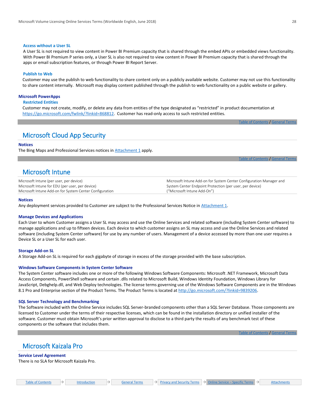#### **Access without a User SL**

A User SL is not required to view content in Power BI Premium capacity that is shared through the embed APIs or embedded views functionality. With Power BI Premium P series only, a User SL is also not required to view content in Power BI Premium capacity that is shared through the apps or email subscription features, or through Power BI Report Server.

#### **Publish to Web**

#### Customer may use the publish to web functionality to share content only on a publicly available website. Customer may not use this functionality to share content internally. Microsoft may display content published through the publish to web functionality on a public website or gallery.

#### **Microsoft PowerApps**

#### **Restricted Entities**

Customer may not create, modify, or delete any data from entities of the type designated as "restricted" in product documentation at [https://go.microsoft.com/fwlink/?linkid=868812.](https://go.microsoft.com/fwlink/?linkid=868812) Customer has read-only access to such restricted entities.

ontents / General Term

## <span id="page-27-0"></span>Microsoft Cloud App Security

#### **Notices**

The Bing Maps and Professional Services notices in **Attachment 1** apply.

[Table of Contents](#page-1-0) / General Terms

## <span id="page-27-1"></span>Microsoft Intune

Microsoft Intune (per user, per device) Microsoft Intune for EDU (per user, per device) Microsoft Intune Add-on for System Center Configuration Microsoft Intune Add-on for System Center Configuration Manager and System Center Endpoint Protection (per user, per device) ("Microsoft Intune Add-On")

#### **Notices**

Any deployment services provided to Customer are subject to the Professional Services Notice i[n Attachment 1.](#page-29-0)

#### **Manage Devices and Applications**

Each User to whom Customer assigns a User SL may access and use the Online Services and related software (including System Center software) to manage applications and up to fifteen devices. Each device to which customer assigns an SL may access and use the Online Services and related software (including System Center software) for use by any number of users. Management of a device accessed by more than one user requires a Device SL or a User SL for each user.

#### **Storage Add-on SL**

A Storage Add-on SL is required for each gigabyte of storage in excess of the storage provided with the base subscription.

#### **Windows Software Components in System Center Software**

The System Center software includes one or more of the following Windows Software Components: Microsoft .NET Framework, Microsoft Data Access Components, PowerShell software and certain .dlls related to Microsoft Build, Windows Identity Foundation, Windows Library for JavaScript, Debghelp.dll, and Web Deploy technologies. The license terms governing use of the Windows Software Components are in the Windows 8.1 Pro and Enterprise section of the Product Terms. The Product Terms is located at [http://go.microsoft.com/?linkid=9839206.](http://go.microsoft.com/?linkid=9839206)

#### **SQL Server Technology and Benchmarking**

The Software included with the Online Service includes SQL Server-branded components other than a SQL Server Database. Those components are licensed to Customer under the terms of their respective licenses, which can be found in the installation directory or unified installer of the software. Customer must obtain Microsoft's prior written approval to disclose to a third party the results of any benchmark test of these components or the software that includes them.

able of Contents / General Term

## <span id="page-27-2"></span>Microsoft Kaizala Pro

**Service Level Agreement** There is no SLA for Microsoft Kaizala Pro.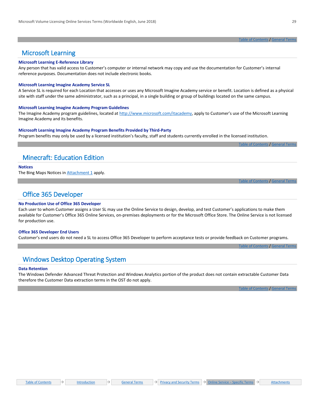## <span id="page-28-0"></span>Microsoft Learning

#### **Microsoft Learning E-Reference Library**

Any person that has valid access to Customer's computer or internal network may copy and use the documentation for Customer's internal reference purposes. Documentation does not include electronic books.

#### **Microsoft Learning Imagine Academy Service SL**

A Service SL is required for each Location that accesses or uses any Microsoft Imagine Academy service or benefit. Location is defined as a physical site with staff under the same administrator, such as a principal, in a single building or group of buildings located on the same campus.

#### **Microsoft Learning Imagine Academy Program Guidelines**

The Imagine Academy program guidelines, located a[t http://www.microsoft.com/itacademy](http://www.microsoft.com/itacademy), apply to Customer's use of the Microsoft Learning Imagine Academy and its benefits.

#### **Microsoft Learning Imagine Academy Program Benefits Provided by Third-Party**

Program benefits may only be used by a licensed institution's faculty, staff and students currently enrolled in the licensed institution.

e of Contents / General Terms

## <span id="page-28-1"></span>Minecraft: Education Edition

**Notices**

The Bing Maps Notices in **Attachment 1** apply.

[Table of Contents](#page-1-0) / General Terms

## <span id="page-28-2"></span>Office 365 Developer

#### **No Production Use of Office 365 Developer**

Each user to whom Customer assigns a User SL may use the Online Service to design, develop, and test Customer's applications to make them available for Customer's Office 365 Online Services, on-premises deployments or for the Microsoft Office Store. The Online Service is not licensed for production use.

#### **Office 365 Developer End Users**

Customer's end users do not need a SL to access Office 365 Developer to perform acceptance tests or provide feedback on Customer programs.

Table [of Contents](#page-1-0) / General Terms

## <span id="page-28-3"></span>Windows Desktop Operating System

#### **Data Retention**

The Windows Defender Advanced Threat Protection and Windows Analytics portion of the product does not contain extractable Customer Data therefore the Customer Data extraction terms in the OST do not apply.

[Table of Contents](#page-1-0) / General Terms

[Table of Contents](#page-1-0) / General Terms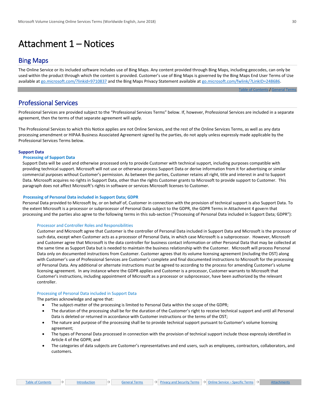## <span id="page-29-0"></span>Attachment 1 – Notices

## <span id="page-29-1"></span>Bing Maps

The Online Service or its included software includes use of Bing Maps. Any content provided through Bing Maps, including geocodes, can only be used within the product through which the content is provided. Customer's use of Bing Maps is governed by the Bing Maps End User Terms of Use available at [go.microsoft.com/?linkid=9710837](http://go.microsoft.com/?linkid=9710837) and the Bing Maps Privacy Statement available a[t go.microsoft.com/fwlink/?LinkID=248686.](http://go.microsoft.com/fwlink/?LinkID=248686)

of Contents / General Term

## <span id="page-29-2"></span>Professional Services

Professional Services are provided subject to the "Professional Services Terms" below. If, however, Professional Services are included in a separate agreement, then the terms of that separate agreement will apply.

The Professional Services to which this Notice applies are not Online Services, and the rest of the Online Services Terms, as well as any data processing amendment or HIPAA Business Associated Agreement signed by the parties, do not apply unless expressly made applicable by the Professional Services Terms below.

#### **Support Data**

#### **Processing of Support Data**

Support Data will be used and otherwise processed only to provide Customer with technical support, including purposes compatible with providing technical support. Microsoft will not use or otherwise process Support Data or derive information from it for advertising or similar commercial purposes without Customer's permission. As between the parties, Customer retains all right, title and interest in and to Support Data. Microsoft acquires no rights in Support Data, other than the rights Customer grants to Microsoft to provide support to Customer. This paragraph does not affect Microsoft's rights in software or services Microsoft licenses to Customer.

#### **Processing of Personal Data included in Support Data; GDPR**

Personal Data provided to Microsoft by, or on behalf of, Customer in connection with the provision of technical support is also Support Data. To the extent Microsoft is a processor or subprocessor of Personal Data subject to the GDPR, the GDPR Terms in Attachment 4 govern that processing and the parties also agree to the following terms in this sub-section ("Processing of Personal Data included in Support Data; GDPR"):

#### Processor and Controller Roles and Responsibilities

Customer and Microsoft agree that Customer is the controller of Personal Data included in Support Data and Microsoft is the processor of such data, except when Customer acts as a processor of Personal Data, in which case Microsoft is a subprocessor. However, Microsoft and Customer agree that Microsoft is the data controller for business contact information or other Personal Data that may be collected at the same time as Support Data but is needed to maintain the business relationship with the Customer. Microsoft will process Personal Data only on documented instructions from Customer. Customer agrees that its volume licensing agreement (including the OST) along with Customer's use of Professional Services are Customer's complete and final documented instructions to Microsoft for the processing of Personal Data. Any additional or alternate instructions must be agreed to according to the process for amending Customer's volume licensing agreement. In any instance where the GDPR applies and Customer is a processor, Customer warrants to Microsoft that Customer's instructions, including appointment of Microsoft as a processor or subprocessor, have been authorized by the relevant controller.

#### Processing of Personal Data included in Support Data

The parties acknowledge and agree that:

- The subject-matter of the processing is limited to Personal Data within the scope of the GDPR;
- The duration of the processing shall be for the duration of the Customer's right to receive technical support and until all Personal Data is deleted or returned in accordance with Customer instructions or the terms of the OST;
- The nature and purpose of the processing shall be to provide technical support pursuant to Customer's volume licensing agreement;
- The types of Personal Data processed in connection with the provision of technical support include those expressly identified in Article 4 of the GDPR; and
- The categories of data subjects are Customer's representatives and end users, such as employees, contractors, collaborators, and customers.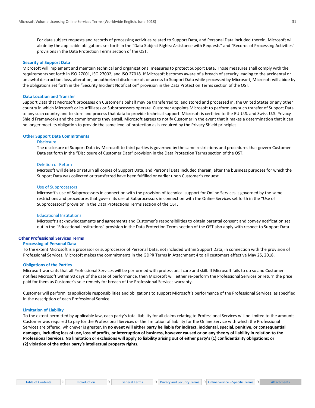For data subject requests and records of processing activities related to Support Data, and Personal Data included therein, Microsoft will abide by the applicable obligations set forth in the "Data Subject Rights; Assistance with Requests" and "Records of Processing Activities" provisions in the Data Protection Terms section of the OST.

#### **Security of Support Data**

Microsoft will implement and maintain technical and organizational measures to protect Support Data. Those measures shall comply with the requirements set forth in ISO 27001, ISO 27002, and ISO 27018. If Microsoft becomes aware of a breach of security leading to the accidental or unlawful destruction, loss, alteration, unauthorized disclosure of, or access to Support Data while processed by Microsoft, Microsoft will abide by the obligations set forth in the "Security Incident Notification" provision in the Data Protection Terms section of the OST.

#### **Data Location and Transfer**

Support Data that Microsoft processes on Customer's behalf may be transferred to, and stored and processed in, the United States or any other country in which Microsoft or its Affiliates or Subprocessors operate. Customer appoints Microsoft to perform any such transfer of Support Data to any such country and to store and process that data to provide technical support. Microsoft is certified to the EU-U.S. and Swiss-U.S. Privacy Shield Frameworks and the commitments they entail. Microsoft agrees to notify Customer in the event that it makes a determination that it can no longer meet its obligation to provide the same level of protection as is required by the Privacy Shield principles.

#### **Other Support Data Commitments**

#### **Disclosure**

The disclosure of Support Data by Microsoft to third parties is governed by the same restrictions and procedures that govern Customer Data set forth in the "Disclosure of Customer Data" provision in the Data Protection Terms section of the OST.

#### Deletion or Return

Microsoft will delete or return all copies of Support Data, and Personal Data included therein, after the business purposes for which the Support Data was collected or transferred have been fulfilled or earlier upon Customer's request.

#### Use of Subprocessors

Microsoft's use of Subprocessors in connection with the provision of technical support for Online Services is governed by the same restrictions and procedures that govern its use of Subprocessors in connection with the Online Services set forth in the "Use of Subprocessors" provision in the Data Protections Terms section of the OST.

#### Educational Institutions

Microsoft's acknowledgements and agreements and Customer's responsibilities to obtain parental consent and convey notification set out in the "Educational Institutions" provision in the Data Protection Terms section of the OST also apply with respect to Support Data.

#### **Other Professional Services Terms**

#### **Processing of Personal Data**

To the extent Microsoft is a processor or subprocessor of Personal Data, not included within Support Data, in connection with the provision of Professional Services, Microsoft makes the commitments in the GDPR Terms in Attachment 4 to all customers effective May 25, 2018.

#### **Obligations of the Parties**

Microsoft warrants that all Professional Services will be performed with professional care and skill. If Microsoft fails to do so and Customer notifies Microsoft within 90 days of the date of performance, then Microsoft will either re-perform the Professional Services or return the price paid for them as Customer's sole remedy for breach of the Professional Services warranty.

Customer will perform its applicable responsibilities and obligations to support Microsoft's performance of the Professional Services, as specified in the description of each Professional Service.

#### **Limitation of Liability**

To the extent permitted by applicable law, each party's total liability for all claims relating to Professional Services will be limited to the amounts Customer was required to pay for the Professional Services or the limitation of liability for the Online Service with which the Professional Services are offered, whichever is greater. **In no event will either party be liable for indirect, incidental, special, punitive, or consequential damages, including loss of use, loss of profits, or interruption of business, however caused or on any theory of liability in relation to the Professional Services. No limitation or exclusions will apply to liability arising out of either party's (1) confidentiality obligations; or (2) violation of the other party's intellectual property rights.**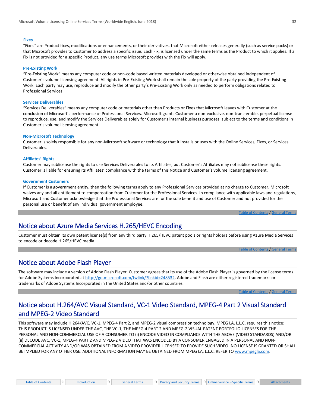#### **Fixes**

"Fixes" are Product fixes, modifications or enhancements, or their derivatives, that Microsoft either releases generally (such as service packs) or that Microsoft provides to Customer to address a specific issue. Each Fix, is licensed under the same terms as the Product to which it applies. If a Fix is not provided for a specific Product, any use terms Microsoft provides with the Fix will apply.

#### **Pre-Existing Work**

"Pre-Existing Work" means any computer code or non-code based written materials developed or otherwise obtained independent of Customer's volume licensing agreement. All rights in Pre-Existing Work shall remain the sole property of the party providing the Pre-Existing Work. Each party may use, reproduce and modify the other party's Pre-Existing Work only as needed to perform obligations related to Professional Services.

#### **Services Deliverables**

"Services Deliverables" means any computer code or materials other than Products or Fixes that Microsoft leaves with Customer at the conclusion of Microsoft's performance of Professional Services. Microsoft grants Customer a non-exclusive, non-transferable, perpetual license to reproduce, use, and modify the Services Deliverables solely for Customer's internal business purposes, subject to the terms and conditions in Customer's volume licensing agreement.

#### **Non-Microsoft Technology**

Customer is solely responsible for any non-Microsoft software or technology that it installs or uses with the Online Services, Fixes, or Services Deliverables.

#### **Affiliates' Rights**

Customer may sublicense the rights to use Services Deliverables to its Affiliates, but Customer's Affiliates may not sublicense these rights. Customer is liable for ensuring its Affiliates' compliance with the terms of this Notice and Customer's volume licensing agreement.

#### **Government Customers**

If Customer is a government entity, then the following terms apply to any Professional Services provided at no charge to Customer. Microsoft waives any and all entitlement to compensation from Customer for the Professional Services. In compliance with applicable laws and regulations, Microsoft and Customer acknowledge that the Professional Services are for the sole benefit and use of Customer and not provided for the personal use or benefit of any individual government employee.

[Table of Contents](#page-1-0) / General Terms

## <span id="page-31-0"></span>Notice about Azure Media Services H.265/HEVC Encoding

Customer must obtain its own patent license(s) from any third party H.265/HEVC patent pools or rights holders before using Azure Media Services to encode or decode H.265/HEVC media.

[Table of Contents](#page-1-0) / General Terms

## <span id="page-31-1"></span>Notice about Adobe Flash Player

The software may include a version of Adobe Flash Player. Customer agrees that its use of the Adobe Flash Player is governed by the license terms for Adobe Systems Incorporated at [http://go.microsoft.com/fwlink/?linkid=248532.](http://go.microsoft.com/fwlink/?linkid=248532) Adobe and Flash are either registered trademarks or trademarks of Adobe Systems Incorporated in the United States and/or other countries.

of Contents / General Terms

## <span id="page-31-2"></span>Notice about H.264/AVC Visual Standard, VC-1 Video Standard, MPEG-4 Part 2 Visual Standard and MPEG-2 Video Standard

This software may include H.264/AVC, VC-1, MPEG-4 Part 2, and MPEG-2 visual compression technology. MPEG LA, L.L.C. requires this notice: THIS PRODUCT IS LICENSED UNDER THE AVC, THE VC-1, THE MPEG-4 PART 2 AND MPEG-2 VISUAL PATENT PORTFOLIO LICENSES FOR THE PERSONAL AND NON-COMMERCIAL USE OF A CONSUMER TO (i) ENCODE VIDEO IN COMPLIANCE WITH THE ABOVE (VIDEO STANDARDS) AND/OR (ii) DECODE AVC, VC-1, MPEG-4 PART 2 AND MPEG-2 VIDEO THAT WAS ENCODED BY A CONSUMER ENGAGED IN A PERSONAL AND NON-COMMERCIAL ACTIVITY AND/OR WAS OBTAINED FROM A VIDEO PROVIDER LICENSED TO PROVIDE SUCH VIDEO. NO LICENSE IS GRANTED OR SHALL BE IMPLIED FOR ANY OTHER USE. ADDITIONAL INFORMATION MAY BE OBTAINED FROM MPEG LA, L.L.C. REFER T[O www.mpegla.com.](http://www.mpegla.com/)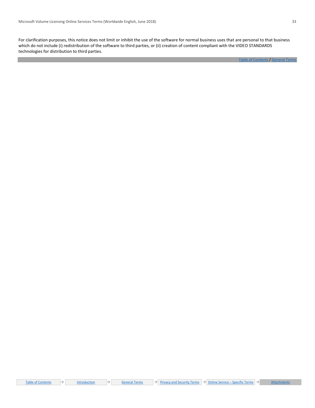For clarification purposes, this notice does not limit or inhibit the use of the software for normal business uses that are personal to that business which do not include (i) redistribution of the software to third parties, or (ii) creation of content compliant with the VIDEO STANDARDS technologies for distribution to third parties.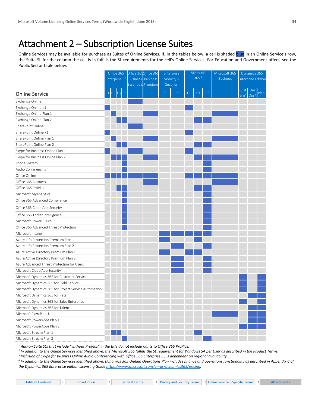## <span id="page-33-0"></span>Attachment 2 – Subscription License Suites

Online Services may be available for purchase as Suites of Online Services. If, in the tables below, a cell is shaded blue in an Online Service's row, the Suite SL for the column the cell is in fulfills the SL requirements for the cell's Online Services. For Education and Government offers, see the Public Sector table below.

|                                                       |             | Office 365                |  | Office 365Office 365 |                                                       |    | Enterprise             | Microsoft<br>365 2 |                |                | Microsoft 365<br><b>Business</b> | Dynamics 365              |                  |      |
|-------------------------------------------------------|-------------|---------------------------|--|----------------------|-------------------------------------------------------|----|------------------------|--------------------|----------------|----------------|----------------------------------|---------------------------|------------------|------|
|                                                       |             | Enterprise <sup>1,3</sup> |  |                      | <b>Business</b> Business<br><b>Essentials</b> Premium |    | Mobility +<br>Security |                    |                |                |                                  | <b>Enterprise Edition</b> |                  |      |
|                                                       |             |                           |  |                      |                                                       |    |                        |                    |                |                |                                  | Cust Uni                  |                  |      |
| <b>Online Service</b>                                 | F1 E1 E3 E5 |                           |  |                      |                                                       | E3 | E5                     | F1                 | E <sub>3</sub> | E <sub>5</sub> |                                  | Eng <sup>4</sup>          | Ops <sup>4</sup> | Plan |
| Exchange Online                                       |             |                           |  |                      |                                                       |    |                        |                    |                |                |                                  |                           |                  |      |
| Exchange Online K1                                    |             |                           |  |                      |                                                       |    |                        |                    |                |                |                                  |                           |                  |      |
| Exchange Online Plan 1                                |             |                           |  |                      |                                                       |    |                        |                    |                |                |                                  |                           |                  |      |
| Exchange Online Plan 2                                |             |                           |  |                      |                                                       |    |                        |                    |                |                |                                  |                           |                  |      |
| SharePoint Online                                     |             |                           |  |                      |                                                       |    |                        |                    |                |                |                                  |                           |                  |      |
| SharePoint Online K1                                  |             |                           |  |                      |                                                       |    |                        |                    |                |                |                                  |                           |                  |      |
| SharePoint Online Plan 1                              |             |                           |  |                      |                                                       |    |                        |                    |                |                |                                  |                           |                  |      |
| SharePoint Online Plan 2                              |             |                           |  |                      |                                                       |    |                        |                    |                |                |                                  |                           |                  |      |
| Skype for Business Online Plan 1                      |             |                           |  |                      |                                                       |    |                        |                    |                |                |                                  |                           |                  |      |
| Skype for Business Online Plan 2                      |             |                           |  |                      |                                                       |    |                        |                    |                |                |                                  |                           |                  |      |
| Phone System                                          |             |                           |  |                      |                                                       |    |                        |                    |                |                |                                  |                           |                  |      |
| Audio Conferencing                                    |             |                           |  |                      |                                                       |    |                        |                    |                |                |                                  |                           |                  |      |
| Office Online                                         |             |                           |  |                      |                                                       |    |                        |                    |                |                |                                  |                           |                  |      |
| Office 365 Business                                   |             |                           |  |                      |                                                       |    |                        |                    |                |                |                                  |                           |                  |      |
| Office 365 ProPlus                                    |             |                           |  |                      |                                                       |    |                        |                    |                |                |                                  |                           |                  |      |
| Microsoft MyAnalytics                                 |             |                           |  |                      |                                                       |    |                        |                    |                |                |                                  |                           |                  |      |
| Office 365 Advanced Compliance                        |             |                           |  |                      |                                                       |    |                        |                    |                |                |                                  |                           |                  |      |
| Office 365 Cloud App Security                         |             |                           |  |                      |                                                       |    |                        |                    |                |                |                                  |                           |                  |      |
| Office 365 Threat Intelligence                        |             |                           |  |                      |                                                       |    |                        |                    |                |                |                                  |                           |                  |      |
| Microsoft Power BI Pro                                |             |                           |  |                      |                                                       |    |                        |                    |                |                |                                  |                           |                  |      |
| Office 365 Advanced Threat Protection                 |             |                           |  |                      |                                                       |    |                        |                    |                |                |                                  |                           |                  |      |
| Microsoft Intune                                      |             |                           |  |                      |                                                       |    |                        |                    |                |                |                                  |                           |                  |      |
| Azure Info Protection Premium Plan 1                  |             |                           |  |                      |                                                       |    |                        |                    |                |                |                                  |                           |                  |      |
| Azure Info Protection Premium Plan 2                  |             |                           |  |                      |                                                       |    |                        |                    |                |                |                                  |                           |                  |      |
| Azure Active Directory Premium Plan 1                 |             |                           |  |                      |                                                       |    |                        |                    |                |                |                                  |                           |                  |      |
| Azure Active Directory Premium Plan 2                 |             |                           |  |                      |                                                       |    |                        |                    |                |                |                                  |                           |                  |      |
| Azure Advanced Threat Protection for Users            |             |                           |  |                      |                                                       |    |                        |                    |                |                |                                  |                           |                  |      |
| Microsoft Cloud App Security                          |             |                           |  |                      |                                                       |    |                        |                    |                |                |                                  |                           |                  |      |
| Microsoft Dynamics 365 for Customer Service           |             |                           |  |                      |                                                       |    |                        |                    |                |                |                                  |                           |                  |      |
| Microsoft Dynamics 365 for Field Service              |             |                           |  |                      |                                                       |    |                        |                    |                |                |                                  |                           |                  |      |
| Microsoft Dynamics 365 for Project Service Automation |             |                           |  |                      |                                                       |    |                        |                    |                |                |                                  |                           |                  |      |
| Microsoft Dynamics 365 for Retail                     |             |                           |  |                      |                                                       |    |                        |                    |                |                |                                  |                           |                  |      |
| Microsoft Dynamics 365 for Sales Enterprise           |             |                           |  |                      |                                                       |    |                        |                    |                |                |                                  |                           |                  |      |
| Microsoft Dynamics 365 for Talent                     |             |                           |  |                      |                                                       |    |                        |                    |                |                |                                  |                           |                  |      |
| Microsoft Flow Plan 1                                 |             |                           |  |                      |                                                       |    |                        |                    |                |                |                                  |                           |                  |      |
| Microsoft PowerApps Plan 1                            |             |                           |  |                      |                                                       |    |                        |                    |                |                |                                  |                           |                  |      |
| Microsoft PowerApps Plan 2                            |             |                           |  |                      |                                                       |    |                        |                    |                |                |                                  |                           |                  |      |
| Microsoft Stream Plan 1                               |             |                           |  |                      |                                                       |    |                        |                    |                |                |                                  |                           |                  |      |
| Microsoft Stream Plan 2                               |             |                           |  |                      |                                                       |    |                        |                    |                |                |                                  |                           |                  |      |

*<sup>1</sup> Add-on Suite SLs that include "without ProPlus" in the title do not include rights to Office 365 ProPlus.*

*2 In addition to the Online Services identified above, the Microsoft 365 fulfills the SL requirement for Windows SA per User as described in the Product Terms.*

*3 Inclusion of Skype for Business Online Audio Conferencing with Office 365 Enterprise E5 is dependent on regional availability.*

<span id="page-33-1"></span>*4 In addition to the Online Services identified above, Dynamics 365 Unified Operations Plan includes finance and operations functionality as described in Appendix C of the Dynamics 365 Enterprise edition Licensing Guide [https://www.microsoft.com/en-us/dynamics365/pricing.](https://www.microsoft.com/en-us/dynamics365/pricing)*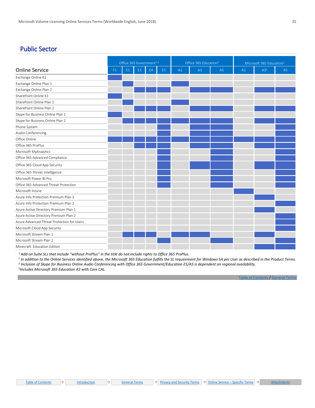## <span id="page-34-0"></span>Public Sector

|                                            |    | Office 365 Government <sup>1,3</sup> |                |    |                |    | Office 365 Education <sup>3</sup> |                |    | Microsoft 365 Education <sup>2</sup> |                |  |
|--------------------------------------------|----|--------------------------------------|----------------|----|----------------|----|-----------------------------------|----------------|----|--------------------------------------|----------------|--|
| <b>Online Service</b>                      | F1 | E <sub>1</sub>                       | E <sub>3</sub> | E4 | E <sub>5</sub> | A1 | A3                                | A <sub>5</sub> | A1 | A3 <sup>5</sup>                      | A <sub>5</sub> |  |
| Exchange Online K1                         |    |                                      |                |    |                |    |                                   |                |    |                                      |                |  |
| Exchange Online Plan 1                     |    |                                      |                |    |                |    |                                   |                |    |                                      |                |  |
| Exchange Online Plan 2                     |    |                                      |                |    |                |    |                                   |                |    |                                      |                |  |
| SharePoint Online K1                       |    |                                      |                |    |                |    |                                   |                |    |                                      |                |  |
| SharePoint Online Plan 1                   |    |                                      |                |    |                |    |                                   |                |    |                                      |                |  |
| SharePoint Online Plan 2                   |    |                                      |                |    |                |    |                                   |                |    |                                      |                |  |
| Skype for Business Online Plan 1           |    |                                      |                |    |                |    |                                   |                |    |                                      |                |  |
| Skype for Business Online Plan 2           |    |                                      |                |    |                |    |                                   |                |    |                                      |                |  |
| Phone System                               |    |                                      |                |    |                |    |                                   |                |    |                                      |                |  |
| Audio Conferencing                         |    |                                      |                |    |                |    |                                   |                |    |                                      |                |  |
| Office Online                              |    |                                      |                |    |                |    |                                   |                |    |                                      |                |  |
| Office 365 ProPlus                         |    |                                      |                |    |                |    |                                   |                |    |                                      |                |  |
| Microsoft MyAnalytics                      |    |                                      |                |    |                |    |                                   |                |    |                                      |                |  |
| Office 365 Advanced Compliance             |    |                                      |                |    |                |    |                                   |                |    |                                      |                |  |
| Office 365 Cloud App Security              |    |                                      |                |    |                |    |                                   |                |    |                                      |                |  |
| Office 365 Threat Intelligence             |    |                                      |                |    |                |    |                                   |                |    |                                      |                |  |
| Microsoft Power BI Pro                     |    |                                      |                |    |                |    |                                   |                |    |                                      |                |  |
| Office 365 Advanced Threat Protection      |    |                                      |                |    |                |    |                                   |                |    |                                      |                |  |
| Microsoft Intune                           |    |                                      |                |    |                |    |                                   |                |    |                                      |                |  |
| Azure Info Protection Premium Plan 1       |    |                                      |                |    |                |    |                                   |                |    |                                      |                |  |
| Azure Info Protection Premium Plan 2       |    |                                      |                |    |                |    |                                   |                |    |                                      |                |  |
| Azure Active Directory Premium Plan 1      |    |                                      |                |    |                |    |                                   |                |    |                                      |                |  |
| Azure Active Directory Premium Plan 2      |    |                                      |                |    |                |    |                                   |                |    |                                      |                |  |
| Azure Advanced Threat Protection for Users |    |                                      |                |    |                |    |                                   |                |    |                                      |                |  |
| Microsoft Cloud App Security               |    |                                      |                |    |                |    |                                   |                |    |                                      |                |  |
| Microsoft Stream Plan 1                    |    |                                      |                |    |                |    |                                   |                |    |                                      |                |  |
| Microsoft Stream Plan 2                    |    |                                      |                |    |                |    |                                   |                |    |                                      |                |  |
| Minecraft: Education Edition               |    |                                      |                |    |                |    |                                   |                |    |                                      |                |  |

*<sup>1</sup> Add-on Suite SLs that include "without ProPlus" in the title do not include rights to Office 365 ProPlus.*

*2 In addition to the Online Services identified above, the Microsoft 365 Education fulfills the SL requirement for Windows SA per User as described in the Product Terms. 3 Inclusion of Skype for Business Online Audio Conferencing with Office 365 Government/Education E5/A5 is dependent on regional availability.*

*5 Includes Microsoft 365 Education A3 with Core CAL.*

e of Contents / General Terms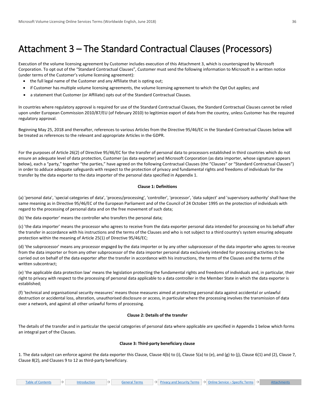## <span id="page-35-0"></span>Attachment 3 – The Standard Contractual Clauses (Processors)

Execution of the volume licensing agreement by Customer includes execution of this Attachment 3, which is countersigned by Microsoft Corporation. To opt out of the "Standard Contractual Clauses", Customer must send the following information to Microsoft in a written notice (under terms of the Customer's volume licensing agreement):

- the full legal name of the Customer and any Affiliate that is opting out;
- if Customer has multiple volume licensing agreements, the volume licensing agreement to which the Opt Out applies; and
- a statement that Customer (or Affiliate) opts out of the Standard Contractual Clauses.

In countries where regulatory approval is required for use of the Standard Contractual Clauses, the Standard Contractual Clauses cannot be relied upon under European Commission 2010/87/EU (of February 2010) to legitimize export of data from the country, unless Customer has the required regulatory approval.

Beginning May 25, 2018 and thereafter, references to various Articles from the Directive 95/46/EC in the Standard Contractual Clauses below will be treated as references to the relevant and appropriate Articles in the GDPR.

For the purposes of Article 26(2) of Directive 95/46/EC for the transfer of personal data to processors established in third countries which do not ensure an adequate level of data protection, Customer (as data exporter) and Microsoft Corporation (as data importer, whose signature appears below), each a "party," together "the parties," have agreed on the following Contractual Clauses (the "Clauses" or "Standard Contractual Clauses") in order to adduce adequate safeguards with respect to the protection of privacy and fundamental rights and freedoms of individuals for the transfer by the data exporter to the data importer of the personal data specified in Appendix 1.

#### **Clause 1: Definitions**

(a) 'personal data', 'special categories of data', 'process/processing', 'controller', 'processor', 'data subject' and 'supervisory authority' shall have the same meaning as in Directive 95/46/EC of the European Parliament and of the Council of 24 October 1995 on the protection of individuals with regard to the processing of personal data and on the free movement of such data;

(b) 'the data exporter' means the controller who transfers the personal data;

(c) 'the data importer' means the processor who agrees to receive from the data exporter personal data intended for processing on his behalf after the transfer in accordance with his instructions and the terms of the Clauses and who is not subject to a third country's system ensuring adequate protection within the meaning of Article 25(1) of Directive 95/46/EC;

(d) 'the subprocessor' means any processor engaged by the data importer or by any other subprocessor of the data importer who agrees to receive from the data importer or from any other subprocessor of the data importer personal data exclusively intended for processing activities to be carried out on behalf of the data exporter after the transfer in accordance with his instructions, the terms of the Clauses and the terms of the written subcontract;

(e) 'the applicable data protection law' means the legislation protecting the fundamental rights and freedoms of individuals and, in particular, their right to privacy with respect to the processing of personal data applicable to a data controller in the Member State in which the data exporter is established;

(f) 'technical and organisational security measures' means those measures aimed at protecting personal data against accidental or unlawful destruction or accidental loss, alteration, unauthorised disclosure or access, in particular where the processing involves the transmission of data over a network, and against all other unlawful forms of processing.

#### **Clause 2: Details of the transfer**

The details of the transfer and in particular the special categories of personal data where applicable are specified in Appendix 1 below which forms an integral part of the Clauses.

#### **Clause 3: Third-party beneficiary clause**

1. The data subject can enforce against the data exporter this Clause, Clause 4(b) to (i), Clause 5(a) to (e), and (g) to (j), Clause 6(1) and (2), Clause 7, Clause 8(2), and Clauses 9 to 12 as third-party beneficiary.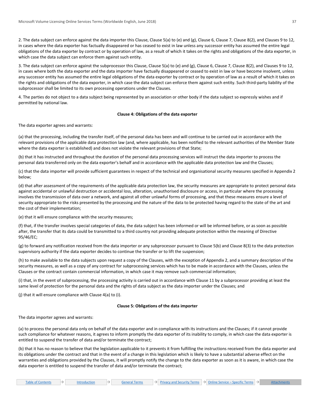2. The data subject can enforce against the data importer this Clause, Clause 5(a) to (e) and (g), Clause 6, Clause 7, Clause 8(2), and Clauses 9 to 12, in cases where the data exporter has factually disappeared or has ceased to exist in law unless any successor entity has assumed the entire legal obligations of the data exporter by contract or by operation of law, as a result of which it takes on the rights and obligations of the data exporter, in which case the data subject can enforce them against such entity.

3. The data subject can enforce against the subprocessor this Clause, Clause 5(a) to (e) and (g), Clause 6, Clause 7, Clause 8(2), and Clauses 9 to 12, in cases where both the data exporter and the data importer have factually disappeared or ceased to exist in law or have become insolvent, unless any successor entity has assumed the entire legal obligations of the data exporter by contract or by operation of law as a result of which it takes on the rights and obligations of the data exporter, in which case the data subject can enforce them against such entity. Such third-party liability of the subprocessor shall be limited to its own processing operations under the Clauses.

4. The parties do not object to a data subject being represented by an association or other body if the data subject so expressly wishes and if permitted by national law.

#### **Clause 4: Obligations of the data exporter**

The data exporter agrees and warrants:

(a) that the processing, including the transfer itself, of the personal data has been and will continue to be carried out in accordance with the relevant provisions of the applicable data protection law (and, where applicable, has been notified to the relevant authorities of the Member State where the data exporter is established) and does not violate the relevant provisions of that State;

(b) that it has instructed and throughout the duration of the personal data processing services will instruct the data importer to process the personal data transferred only on the data exporter's behalf and in accordance with the applicable data protection law and the Clauses;

(c) that the data importer will provide sufficient guarantees in respect of the technical and organisational security measures specified in Appendix 2 below;

(d) that after assessment of the requirements of the applicable data protection law, the security measures are appropriate to protect personal data against accidental or unlawful destruction or accidental loss, alteration, unauthorised disclosure or access, in particular where the processing involves the transmission of data over a network, and against all other unlawful forms of processing, and that these measures ensure a level of security appropriate to the risks presented by the processing and the nature of the data to be protected having regard to the state of the art and the cost of their implementation;

(e) that it will ensure compliance with the security measures;

(f) that, if the transfer involves special categories of data, the data subject has been informed or will be informed before, or as soon as possible after, the transfer that its data could be transmitted to a third country not providing adequate protection within the meaning of Directive 95/46/EC;

(g) to forward any notification received from the data importer or any subprocessor pursuant to Clause 5(b) and Clause 8(3) to the data protection supervisory authority if the data exporter decides to continue the transfer or to lift the suspension;

(h) to make available to the data subjects upon request a copy of the Clauses, with the exception of Appendix 2, and a summary description of the security measures, as well as a copy of any contract for subprocessing services which has to be made in accordance with the Clauses, unless the Clauses or the contract contain commercial information, in which case it may remove such commercial information;

(i) that, in the event of subprocessing, the processing activity is carried out in accordance with Clause 11 by a subprocessor providing at least the same level of protection for the personal data and the rights of data subject as the data importer under the Clauses; and

(j) that it will ensure compliance with Clause 4(a) to (i).

#### **Clause 5: Obligations of the data importer**

The data importer agrees and warrants:

(a) to process the personal data only on behalf of the data exporter and in compliance with its instructions and the Clauses; if it cannot provide such compliance for whatever reasons, it agrees to inform promptly the data exporter of its inability to comply, in which case the data exporter is entitled to suspend the transfer of data and/or terminate the contract;

(b) that it has no reason to believe that the legislation applicable to it prevents it from fulfilling the instructions received from the data exporter and its obligations under the contract and that in the event of a change in this legislation which is likely to have a substantial adverse effect on the warranties and obligations provided by the Clauses, it will promptly notify the change to the data exporter as soon as it is aware, in which case the data exporter is entitled to suspend the transfer of data and/or terminate the contract;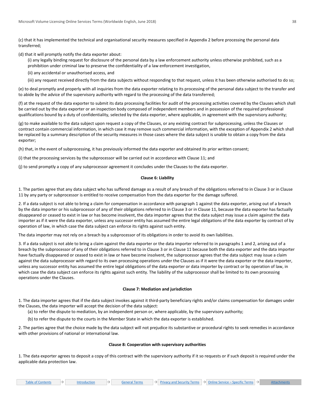(c) that it has implemented the technical and organisational security measures specified in Appendix 2 before processing the personal data transferred;

(d) that it will promptly notify the data exporter about:

(i) any legally binding request for disclosure of the personal data by a law enforcement authority unless otherwise prohibited, such as a prohibition under criminal law to preserve the confidentiality of a law enforcement investigation,

(ii) any accidental or unauthorised access, and

(iii) any request received directly from the data subjects without responding to that request, unless it has been otherwise authorised to do so;

(e) to deal promptly and properly with all inquiries from the data exporter relating to its processing of the personal data subject to the transfer and to abide by the advice of the supervisory authority with regard to the processing of the data transferred;

(f) at the request of the data exporter to submit its data processing facilities for audit of the processing activities covered by the Clauses which shall be carried out by the data exporter or an inspection body composed of independent members and in possession of the required professional qualifications bound by a duty of confidentiality, selected by the data exporter, where applicable, in agreement with the supervisory authority;

(g) to make available to the data subject upon request a copy of the Clauses, or any existing contract for subprocessing, unless the Clauses or contract contain commercial information, in which case it may remove such commercial information, with the exception of Appendix 2 which shall be replaced by a summary description of the security measures in those cases where the data subject is unable to obtain a copy from the data exporter;

(h) that, in the event of subprocessing, it has previously informed the data exporter and obtained its prior written consent;

(i) that the processing services by the subprocessor will be carried out in accordance with Clause 11; and

(j) to send promptly a copy of any subprocessor agreement it concludes under the Clauses to the data exporter.

#### **Clause 6: Liability**

1. The parties agree that any data subject who has suffered damage as a result of any breach of the obligations referred to in Clause 3 or in Clause 11 by any party or subprocessor is entitled to receive compensation from the data exporter for the damage suffered.

2. If a data subject is not able to bring a claim for compensation in accordance with paragraph 1 against the data exporter, arising out of a breach by the data importer or his subprocessor of any of their obligations referred to in Clause 3 or in Clause 11, because the data exporter has factually disappeared or ceased to exist in law or has become insolvent, the data importer agrees that the data subject may issue a claim against the data importer as if it were the data exporter, unless any successor entity has assumed the entire legal obligations of the data exporter by contract of by operation of law, in which case the data subject can enforce its rights against such entity.

The data importer may not rely on a breach by a subprocessor of its obligations in order to avoid its own liabilities.

3. If a data subject is not able to bring a claim against the data exporter or the data importer referred to in paragraphs 1 and 2, arising out of a breach by the subprocessor of any of their obligations referred to in Clause 3 or in Clause 11 because both the data exporter and the data importer have factually disappeared or ceased to exist in law or have become insolvent, the subprocessor agrees that the data subject may issue a claim against the data subprocessor with regard to its own processing operations under the Clauses as if it were the data exporter or the data importer, unless any successor entity has assumed the entire legal obligations of the data exporter or data importer by contract or by operation of law, in which case the data subject can enforce its rights against such entity. The liability of the subprocessor shall be limited to its own processing operations under the Clauses.

#### **Clause 7: Mediation and jurisdiction**

1. The data importer agrees that if the data subject invokes against it third-party beneficiary rights and/or claims compensation for damages under the Clauses, the data importer will accept the decision of the data subject:

(a) to refer the dispute to mediation, by an independent person or, where applicable, by the supervisory authority;

(b) to refer the dispute to the courts in the Member State in which the data exporter is established.

2. The parties agree that the choice made by the data subject will not prejudice its substantive or procedural rights to seek remedies in accordance with other provisions of national or international law.

#### **Clause 8: Cooperation with supervisory authorities**

1. The data exporter agrees to deposit a copy of this contract with the supervisory authority if it so requests or if such deposit is required under the applicable data protection law.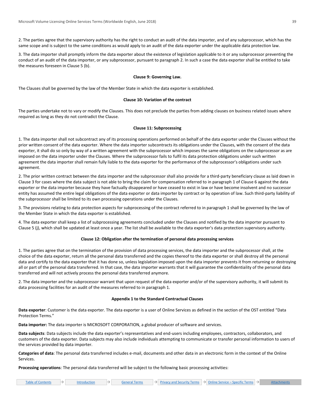2. The parties agree that the supervisory authority has the right to conduct an audit of the data importer, and of any subprocessor, which has the same scope and is subject to the same conditions as would apply to an audit of the data exporter under the applicable data protection law.

3. The data importer shall promptly inform the data exporter about the existence of legislation applicable to it or any subprocessor preventing the conduct of an audit of the data importer, or any subprocessor, pursuant to paragraph 2. In such a case the data exporter shall be entitled to take the measures foreseen in Clause 5 (b).

#### **Clause 9: Governing Law.**

The Clauses shall be governed by the law of the Member State in which the data exporter is established.

#### **Clause 10: Variation of the contract**

The parties undertake not to vary or modify the Clauses. This does not preclude the parties from adding clauses on business related issues where required as long as they do not contradict the Clause.

#### **Clause 11: Subprocessing**

1. The data importer shall not subcontract any of its processing operations performed on behalf of the data exporter under the Clauses without the prior written consent of the data exporter. Where the data importer subcontracts its obligations under the Clauses, with the consent of the data exporter, it shall do so only by way of a written agreement with the subprocessor which imposes the same obligations on the subprocessor as are imposed on the data importer under the Clauses. Where the subprocessor fails to fulfil its data protection obligations under such written agreement the data importer shall remain fully liable to the data exporter for the performance of the subprocessor's obligations under such agreement.

2. The prior written contract between the data importer and the subprocessor shall also provide for a third-party beneficiary clause as laid down in Clause 3 for cases where the data subject is not able to bring the claim for compensation referred to in paragraph 1 of Clause 6 against the data exporter or the data importer because they have factually disappeared or have ceased to exist in law or have become insolvent and no successor entity has assumed the entire legal obligations of the data exporter or data importer by contract or by operation of law. Such third-party liability of the subprocessor shall be limited to its own processing operations under the Clauses.

3. The provisions relating to data protection aspects for subprocessing of the contract referred to in paragraph 1 shall be governed by the law of the Member State in which the data exporter is established.

4. The data exporter shall keep a list of subprocessing agreements concluded under the Clauses and notified by the data importer pursuant to Clause 5 (j), which shall be updated at least once a year. The list shall be available to the data exporter's data protection supervisory authority.

#### **Clause 12: Obligation after the termination of personal data processing services**

1. The parties agree that on the termination of the provision of data processing services, the data importer and the subprocessor shall, at the choice of the data exporter, return all the personal data transferred and the copies thereof to the data exporter or shall destroy all the personal data and certify to the data exporter that it has done so, unless legislation imposed upon the data importer prevents it from returning or destroying all or part of the personal data transferred. In that case, the data importer warrants that it will guarantee the confidentiality of the personal data transferred and will not actively process the personal data transferred anymore.

2. The data importer and the subprocessor warrant that upon request of the data exporter and/or of the supervisory authority, it will submit its data processing facilities for an audit of the measures referred to in paragraph 1.

#### **Appendix 1 to the Standard Contractual Clauses**

**Data exporter**: Customer is the data exporter. The data exporter is a user of Online Services as defined in the section of the OST entitled "Data Protection Terms."

**Data importer:** The data importer is MICROSOFT CORPORATION, a global producer of software and services.

**Data subjects**: Data subjects include the data exporter's representatives and end-users including employees, contractors, collaborators, and customers of the data exporter. Data subjects may also include individuals attempting to communicate or transfer personal information to users of the services provided by data importer.

**Categories of data**: The personal data transferred includes e-mail, documents and other data in an electronic form in the context of the Online Services.

**Processing operations**: The personal data transferred will be subject to the following basic processing activities: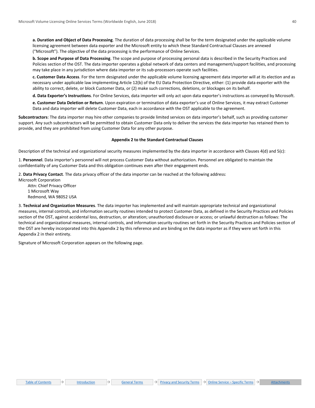**a. Duration and Object of Data Processing**. The duration of data processing shall be for the term designated under the applicable volume licensing agreement between data exporter and the Microsoft entity to which these Standard Contractual Clauses are annexed ("Microsoft"). The objective of the data processing is the performance of Online Services.

**b. Scope and Purpose of Data Processing**. The scope and purpose of processing personal data is described in the Security Practices and Policies section of the OST. The data importer operates a global network of data centers and management/support facilities, and processing may take place in any jurisdiction where data importer or its sub-processors operate such facilities.

**c. Customer Data Access**. For the term designated under the applicable volume licensing agreement data importer will at its election and as necessary under applicable law implementing Article 12(b) of the EU Data Protection Directive, either: (1) provide data exporter with the ability to correct, delete, or block Customer Data, or (2) make such corrections, deletions, or blockages on its behalf.

**d. Data Exporter's Instructions**. For Online Services, data importer will only act upon data exporter's instructions as conveyed by Microsoft.

**e. Customer Data Deletion or Return**. Upon expiration or termination of data exporter's use of Online Services, it may extract Customer Data and data importer will delete Customer Data, each in accordance with the OST applicable to the agreement.

**Subcontractors**: The data importer may hire other companies to provide limited services on data importer's behalf, such as providing customer support. Any such subcontractors will be permitted to obtain Customer Data only to deliver the services the data importer has retained them to provide, and they are prohibited from using Customer Data for any other purpose.

#### **Appendix 2 to the Standard Contractual Clauses**

Description of the technical and organizational security measures implemented by the data importer in accordance with Clauses 4(d) and 5(c):

1. **Personnel**. Data importer's personnel will not process Customer Data without authorization. Personnel are obligated to maintain the confidentiality of any Customer Data and this obligation continues even after their engagement ends.

2. **Data Privacy Contact**. The data privacy officer of the data importer can be reached at the following address:

Microsoft Corporation Attn: Chief Privacy Officer 1 Microsoft Way Redmond, WA 98052 USA

3. **Technical and Organization Measures**. The data importer has implemented and will maintain appropriate technical and organizational measures, internal controls, and information security routines intended to protect Customer Data, as defined in the Security Practices and Policies section of the OST, against accidental loss, destruction, or alteration; unauthorized disclosure or access; or unlawful destruction as follows: The technical and organizational measures, internal controls, and information security routines set forth in the Security Practices and Policies section of the OST are hereby incorporated into this Appendix 2 by this reference and are binding on the data importer as if they were set forth in this Appendix 2 in their entirety.

Signature of Microsoft Corporation appears on the following page.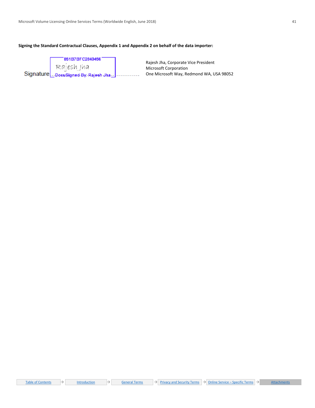### **Signing the Standard Contractual Clauses, Appendix 1 and Appendix 2 on behalf of the data importer:**

. . . . . . . . . . .

| 851B7BFC2840456                      |  |
|--------------------------------------|--|
| Rajesh Iha                           |  |
| Signature  DocuSigned By: Rajesh Jha |  |

Rajesh Jha, Corporate Vice President Microsoft Corporation One Microsoft Way, Redmond WA, USA 98052

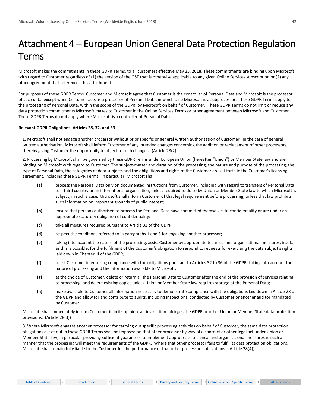## <span id="page-41-0"></span>Attachment 4 – European Union General Data Protection Regulation Terms

Microsoft makes the commitments in these GDPR Terms, to all customers effective May 25, 2018. These commitments are binding upon Microsoft with regard to Customer regardless of (1) the version of the OST that is otherwise applicable to any given Online Services subscription or (2) any other agreement that references this attachment.

For purposes of these GDPR Terms, Customer and Microsoft agree that Customer is the controller of Personal Data and Microsoft is the processor of such data, except when Customer acts as a processor of Personal Data, in which case Microsoft is a subprocessor. These GDPR Terms apply to the processing of Personal Data, within the scope of the GDPR, by Microsoft on behalf of Customer. These GDPR Terms do not limit or reduce any data protection commitments Microsoft makes to Customer in the Online Services Terms or other agreement between Microsoft and Customer. These GDPR Terms do not apply where Microsoft is a controller of Personal Data.

#### **Relevant GDPR Obligations: Articles 28, 32, and 33**

**1.** Microsoft shall not engage another processor without prior specific or general written authorisation of Customer. In the case of general written authorisation, Microsoft shall inform Customer of any intended changes concerning the addition or replacement of other processors, thereby giving Customer the opportunity to object to such changes. (Article 28(2))

**2.** Processing by Microsoft shall be governed by these GDPR Terms under European Union (hereafter "Union") or Member State law and are binding on Microsoft with regard to Customer. The subject-matter and duration of the processing, the nature and purpose of the processing, the type of Personal Data, the categories of data subjects and the obligations and rights of the Customer are set forth in the Customer's licensing agreement, including these GDPR Terms. In particular, Microsoft shall:

- **(a)** process the Personal Data only on documented instructions from Customer, including with regard to transfers of Personal Data to a third country or an international organisation, unless required to do so by Union or Member State law to which Microsoft is subject; in such a case, Microsoft shall inform Customer of that legal requirement before processing, unless that law prohibits such information on important grounds of public interest;
- **(b)** ensure that persons authorised to process the Personal Data have committed themselves to confidentiality or are under an appropriate statutory obligation of confidentiality;
- **(c)** take all measures required pursuant to Article 32 of the GDPR;
- **(d)** respect the conditions referred to in paragraphs 1 and 3 for engaging another processor;
- **(e)** taking into account the nature of the processing, assist Customer by appropriate technical and organisational measures, insofar as this is possible, for the fulfilment of the Customer's obligation to respond to requests for exercising the data subject's rights laid down in Chapter III of the GDPR;
- **(f)** assist Customer in ensuring compliance with the obligations pursuant to Articles 32 to 36 of the GDPR, taking into account the nature of processing and the information available to Microsoft;
- **(g)** at the choice of Customer, delete or return all the Personal Data to Customer after the end of the provision of services relating to processing, and delete existing copies unless Union or Member State law requires storage of the Personal Data;
- **(h)** make available to Customer all information necessary to demonstrate compliance with the obligations laid down in Article 28 of the GDPR and allow for and contribute to audits, including inspections, conducted by Customer or another auditor mandated by Customer.

Microsoft shall immediately inform Customer if, in its opinion, an instruction infringes the GDPR or other Union or Member State data protection provisions. (Article 28(3))

**3.** Where Microsoft engages another processor for carrying out specific processing activities on behalf of Customer, the same data protection obligations as set out in these GDPR Terms shall be imposed on that other processor by way of a contract or other legal act under Union or Member State law, in particular providing sufficient guarantees to implement appropriate technical and organisational measures in such a manner that the processing will meet the requirements of the GDPR. Where that other processor fails to fulfil its data protection obligations, Microsoft shall remain fully liable to the Customer for the performance of that other processor's obligations. (Article 28(4))